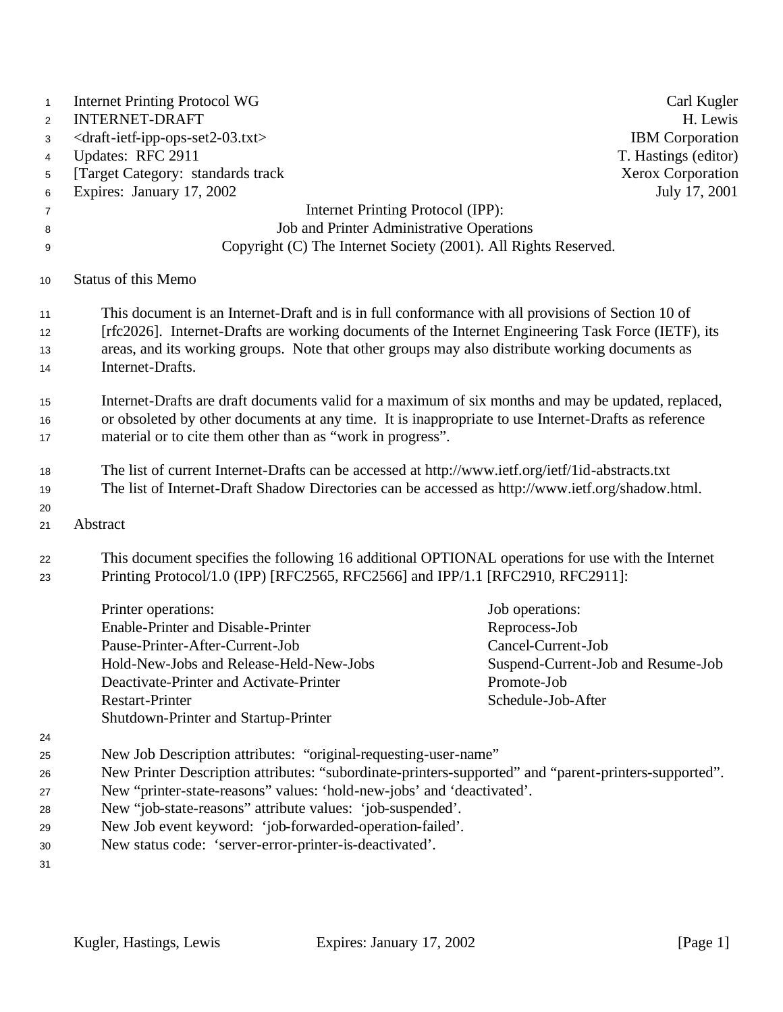| $\mathbf{1}$<br>$\overline{2}$ | <b>Internet Printing Protocol WG</b><br><b>INTERNET-DRAFT</b>                                                                                                                       | Carl Kugler<br>H. Lewis            |  |
|--------------------------------|-------------------------------------------------------------------------------------------------------------------------------------------------------------------------------------|------------------------------------|--|
| 3                              | <draft-ietf-ipp-ops-set2-03.txt></draft-ietf-ipp-ops-set2-03.txt>                                                                                                                   | <b>IBM</b> Corporation             |  |
| 4                              | Updates: RFC 2911                                                                                                                                                                   | T. Hastings (editor)               |  |
| 5                              | [Target Category: standards track                                                                                                                                                   | Xerox Corporation                  |  |
| 6                              | Expires: January 17, 2002                                                                                                                                                           | July 17, 2001                      |  |
| 7                              | Internet Printing Protocol (IPP):                                                                                                                                                   |                                    |  |
| 8                              | Job and Printer Administrative Operations                                                                                                                                           |                                    |  |
| 9                              | Copyright (C) The Internet Society (2001). All Rights Reserved.                                                                                                                     |                                    |  |
| 10                             | <b>Status of this Memo</b>                                                                                                                                                          |                                    |  |
| 11                             | This document is an Internet-Draft and is in full conformance with all provisions of Section 10 of                                                                                  |                                    |  |
| 12                             | [rfc2026]. Internet-Drafts are working documents of the Internet Engineering Task Force (IETF), its                                                                                 |                                    |  |
| 13                             | areas, and its working groups. Note that other groups may also distribute working documents as                                                                                      |                                    |  |
| 14                             | Internet-Drafts.                                                                                                                                                                    |                                    |  |
| 15                             | Internet-Drafts are draft documents valid for a maximum of six months and may be updated, replaced,                                                                                 |                                    |  |
| 16                             | or obsoleted by other documents at any time. It is inappropriate to use Internet-Drafts as reference                                                                                |                                    |  |
| 17                             | material or to cite them other than as "work in progress".                                                                                                                          |                                    |  |
| 18                             | The list of current Internet-Drafts can be accessed at http://www.ietf.org/ietf/1id-abstracts.txt                                                                                   |                                    |  |
| 19                             | The list of Internet-Draft Shadow Directories can be accessed as http://www.ietf.org/shadow.html.                                                                                   |                                    |  |
| 20                             |                                                                                                                                                                                     |                                    |  |
| 21                             | Abstract                                                                                                                                                                            |                                    |  |
| 22<br>23                       | This document specifies the following 16 additional OPTIONAL operations for use with the Internet<br>Printing Protocol/1.0 (IPP) [RFC2565, RFC2566] and IPP/1.1 [RFC2910, RFC2911]: |                                    |  |
|                                | Printer operations:                                                                                                                                                                 | Job operations:                    |  |
|                                | Enable-Printer and Disable-Printer                                                                                                                                                  | Reprocess-Job                      |  |
|                                | Pause-Printer-After-Current-Job                                                                                                                                                     | Cancel-Current-Job                 |  |
|                                | Hold-New-Jobs and Release-Held-New-Jobs                                                                                                                                             | Suspend-Current-Job and Resume-Job |  |
|                                | Deactivate-Printer and Activate-Printer                                                                                                                                             | Promote-Job                        |  |
|                                | <b>Restart-Printer</b>                                                                                                                                                              | Schedule-Job-After                 |  |
|                                | Shutdown-Printer and Startup-Printer                                                                                                                                                |                                    |  |
| 24                             |                                                                                                                                                                                     |                                    |  |
| 25                             | New Job Description attributes: "original-requesting-user-name"                                                                                                                     |                                    |  |
| 26                             | New Printer Description attributes: "subordinate-printers-supported" and "parent-printers-supported".                                                                               |                                    |  |
| 27                             | New "printer-state-reasons" values: 'hold-new-jobs' and 'deactivated'.                                                                                                              |                                    |  |
| 28                             | New "job-state-reasons" attribute values: 'job-suspended'.                                                                                                                          |                                    |  |
| 29                             | New Job event keyword: 'job-forwarded-operation-failed'.                                                                                                                            |                                    |  |
| 30                             | New status code: 'server-error-printer-is-deactivated'.                                                                                                                             |                                    |  |
| 31                             |                                                                                                                                                                                     |                                    |  |
|                                |                                                                                                                                                                                     |                                    |  |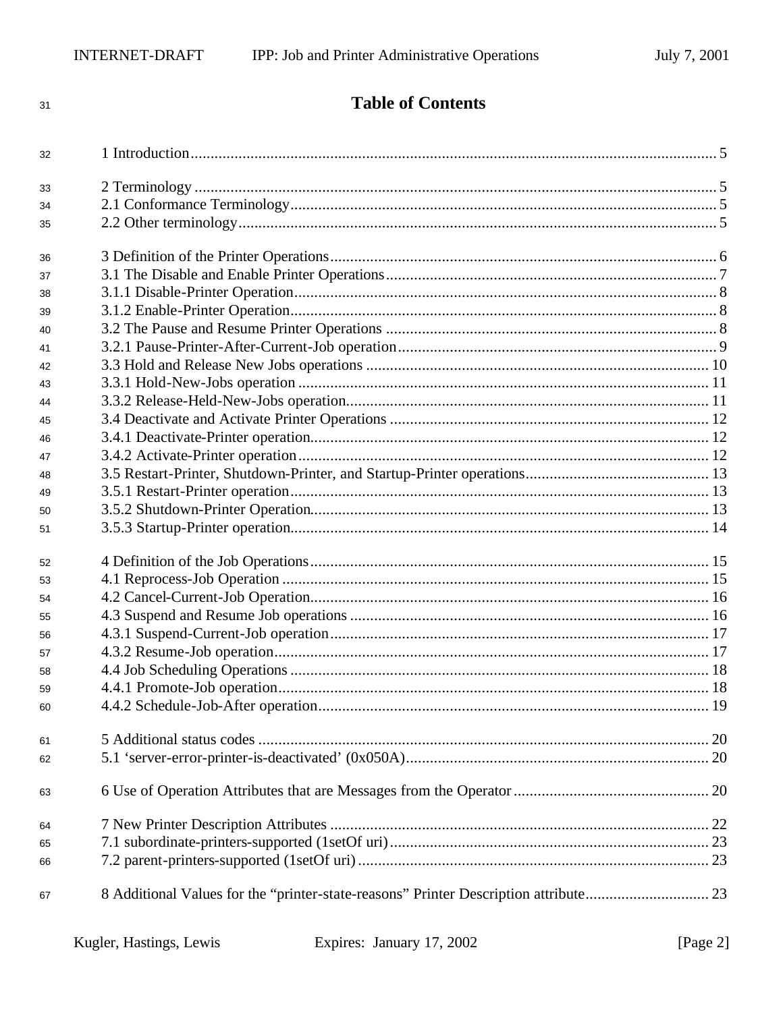32

33

34

35

36

37

38

39

40

41

42

43

44

 $\bf 45$ 

46

47

48

49

50

51

52

53

54

55

56

57

58

59

60

61

62

63

64

65

66

67

**Table of Contents**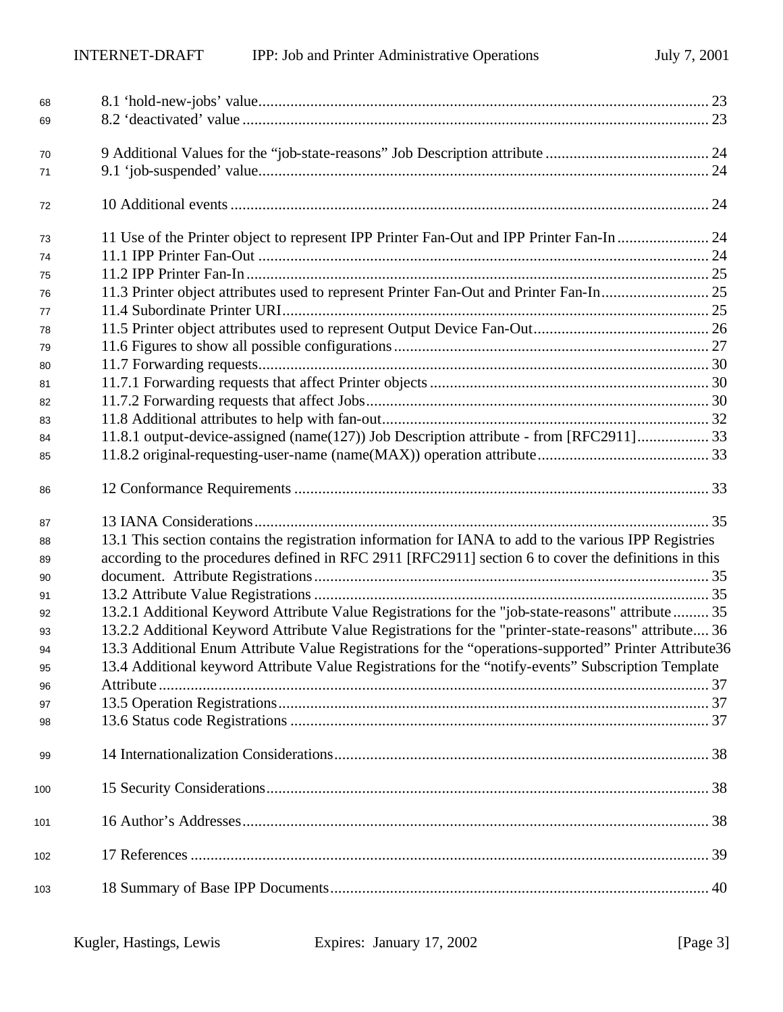| 68  |                                                                                                       |  |
|-----|-------------------------------------------------------------------------------------------------------|--|
| 69  |                                                                                                       |  |
|     |                                                                                                       |  |
| 70  |                                                                                                       |  |
| 71  |                                                                                                       |  |
| 72  |                                                                                                       |  |
| 73  | 11 Use of the Printer object to represent IPP Printer Fan-Out and IPP Printer Fan-In  24              |  |
| 74  |                                                                                                       |  |
| 75  |                                                                                                       |  |
| 76  | 11.3 Printer object attributes used to represent Printer Fan-Out and Printer Fan-In 25                |  |
| 77  |                                                                                                       |  |
| 78  |                                                                                                       |  |
| 79  |                                                                                                       |  |
| 80  |                                                                                                       |  |
| 81  |                                                                                                       |  |
| 82  |                                                                                                       |  |
| 83  |                                                                                                       |  |
| 84  | 11.8.1 output-device-assigned (name(127)) Job Description attribute - from [RFC2911] 33               |  |
| 85  |                                                                                                       |  |
| 86  |                                                                                                       |  |
| 87  |                                                                                                       |  |
| 88  | 13.1 This section contains the registration information for IANA to add to the various IPP Registries |  |
| 89  | according to the procedures defined in RFC 2911 [RFC2911] section 6 to cover the definitions in this  |  |
| 90  |                                                                                                       |  |
| 91  |                                                                                                       |  |
| 92  | 13.2.1 Additional Keyword Attribute Value Registrations for the "job-state-reasons" attribute 35      |  |
| 93  | 13.2.2 Additional Keyword Attribute Value Registrations for the "printer-state-reasons" attribute 36  |  |
| 94  | 13.3 Additional Enum Attribute Value Registrations for the "operations-supported" Printer Attribute36 |  |
| 95  | 13.4 Additional keyword Attribute Value Registrations for the "notify-events" Subscription Template   |  |
| 96  |                                                                                                       |  |
| 97  |                                                                                                       |  |
| 98  |                                                                                                       |  |
| 99  |                                                                                                       |  |
| 100 |                                                                                                       |  |
| 101 |                                                                                                       |  |
| 102 |                                                                                                       |  |
|     |                                                                                                       |  |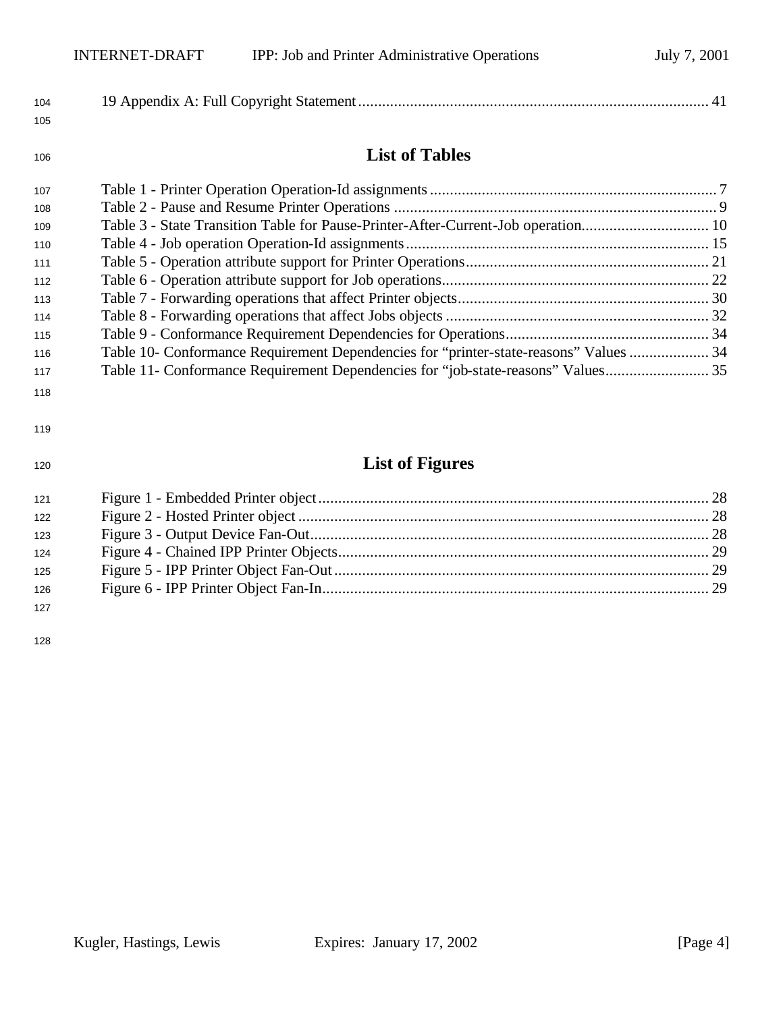| 104 |  |
|-----|--|
| 105 |  |

# **List of Tables**

| 107 |                                                                                       |  |
|-----|---------------------------------------------------------------------------------------|--|
| 108 |                                                                                       |  |
| 109 | Table 3 - State Transition Table for Pause-Printer-After-Current-Job operation 10     |  |
| 110 |                                                                                       |  |
| 111 |                                                                                       |  |
| 112 |                                                                                       |  |
| 113 |                                                                                       |  |
| 114 |                                                                                       |  |
| 115 |                                                                                       |  |
| 116 | Table 10- Conformance Requirement Dependencies for "printer-state-reasons" Values  34 |  |
| 117 | Table 11- Conformance Requirement Dependencies for "job-state-reasons" Values 35      |  |
|     |                                                                                       |  |

#### 

# **List of Figures**

| 121 |  |
|-----|--|
| 122 |  |
| 123 |  |
| 124 |  |
| 125 |  |
| 126 |  |
| 127 |  |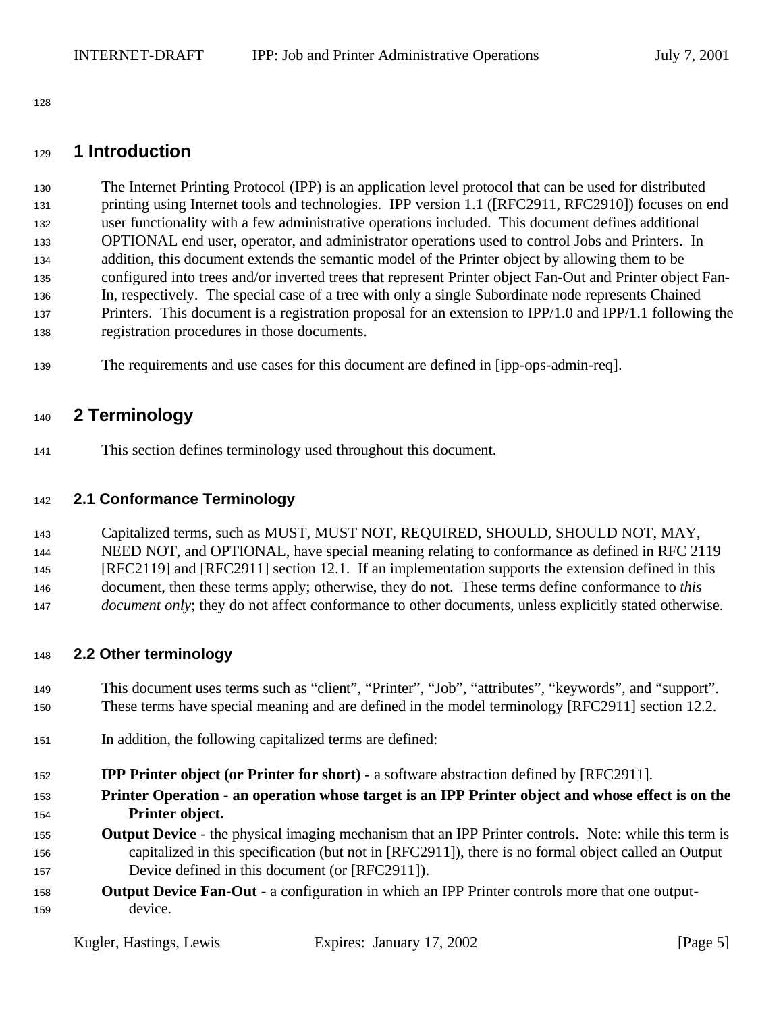## **1 Introduction**

 The Internet Printing Protocol (IPP) is an application level protocol that can be used for distributed printing using Internet tools and technologies. IPP version 1.1 ([RFC2911, RFC2910]) focuses on end user functionality with a few administrative operations included. This document defines additional OPTIONAL end user, operator, and administrator operations used to control Jobs and Printers. In addition, this document extends the semantic model of the Printer object by allowing them to be configured into trees and/or inverted trees that represent Printer object Fan-Out and Printer object Fan- In, respectively. The special case of a tree with only a single Subordinate node represents Chained 137 Printers. This document is a registration proposal for an extension to IPP/1.0 and IPP/1.1 following the registration procedures in those documents.

The requirements and use cases for this document are defined in [ipp-ops-admin-req].

## **2 Terminology**

This section defines terminology used throughout this document.

## **2.1 Conformance Terminology**

 Capitalized terms, such as MUST, MUST NOT, REQUIRED, SHOULD, SHOULD NOT, MAY, 144 NEED NOT, and OPTIONAL, have special meaning relating to conformance as defined in RFC 2119 [RFC2119] and [RFC2911] section 12.1. If an implementation supports the extension defined in this document, then these terms apply; otherwise, they do not. These terms define conformance to *this document only*; they do not affect conformance to other documents, unless explicitly stated otherwise.

### **2.2 Other terminology**

 This document uses terms such as "client", "Printer", "Job", "attributes", "keywords", and "support". These terms have special meaning and are defined in the model terminology [RFC2911] section 12.2.

- In addition, the following capitalized terms are defined:
- **IPP Printer object (or Printer for short) -** a software abstraction defined by [RFC2911].
- **Printer Operation an operation whose target is an IPP Printer object and whose effect is on the Printer object.**
- **Output Device** the physical imaging mechanism that an IPP Printer controls. Note: while this term is capitalized in this specification (but not in [RFC2911]), there is no formal object called an Output Device defined in this document (or [RFC2911]).
- **Output Device Fan-Out** a configuration in which an IPP Printer controls more that one output-device.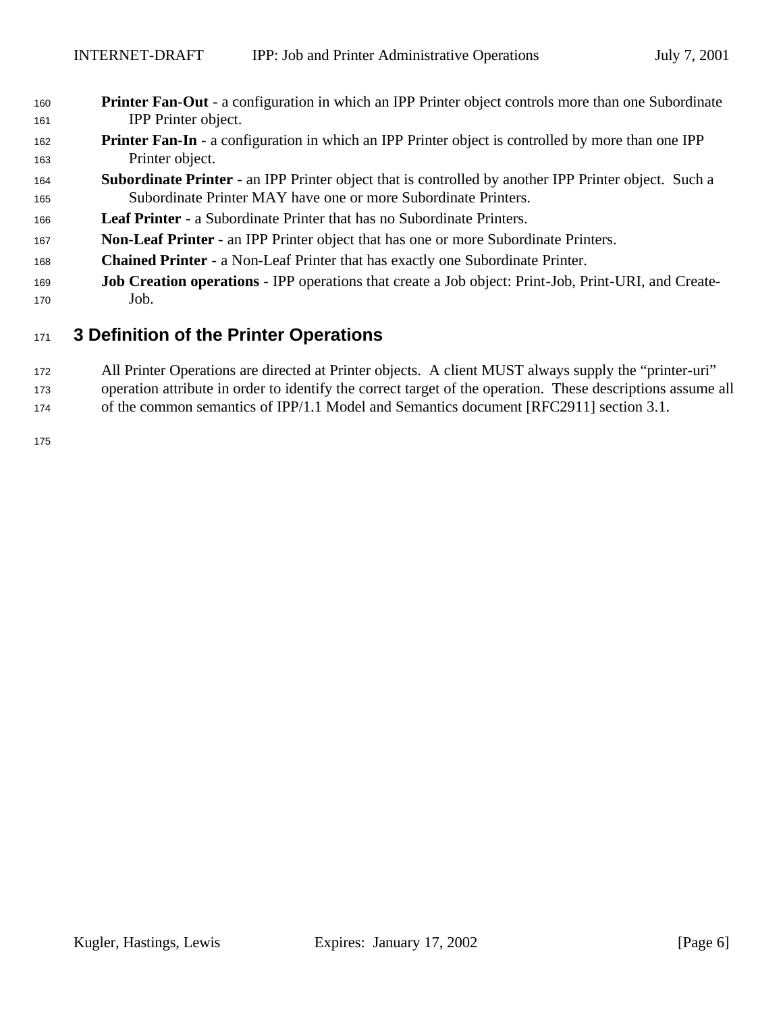- **Printer Fan**-**Out**  a configuration in which an IPP Printer object controls more than one Subordinate IPP Printer object.
- **Printer Fan-In** a configuration in which an IPP Printer object is controlled by more than one IPP Printer object.
- **Subordinate Printer**  an IPP Printer object that is controlled by another IPP Printer object. Such a Subordinate Printer MAY have one or more Subordinate Printers.
- **Leaf Printer**  a Subordinate Printer that has no Subordinate Printers.
- **Non**-**Leaf Printer** an IPP Printer object that has one or more Subordinate Printers.
- **Chained Printer**  a Non-Leaf Printer that has exactly one Subordinate Printer.
- **Job Creation operations**  IPP operations that create a Job object: Print-Job, Print-URI, and Create-Job.

## **3 Definition of the Printer Operations**

- All Printer Operations are directed at Printer objects. A client MUST always supply the "printer-uri"
- operation attribute in order to identify the correct target of the operation. These descriptions assume all
- of the common semantics of IPP/1.1 Model and Semantics document [RFC2911] section 3.1.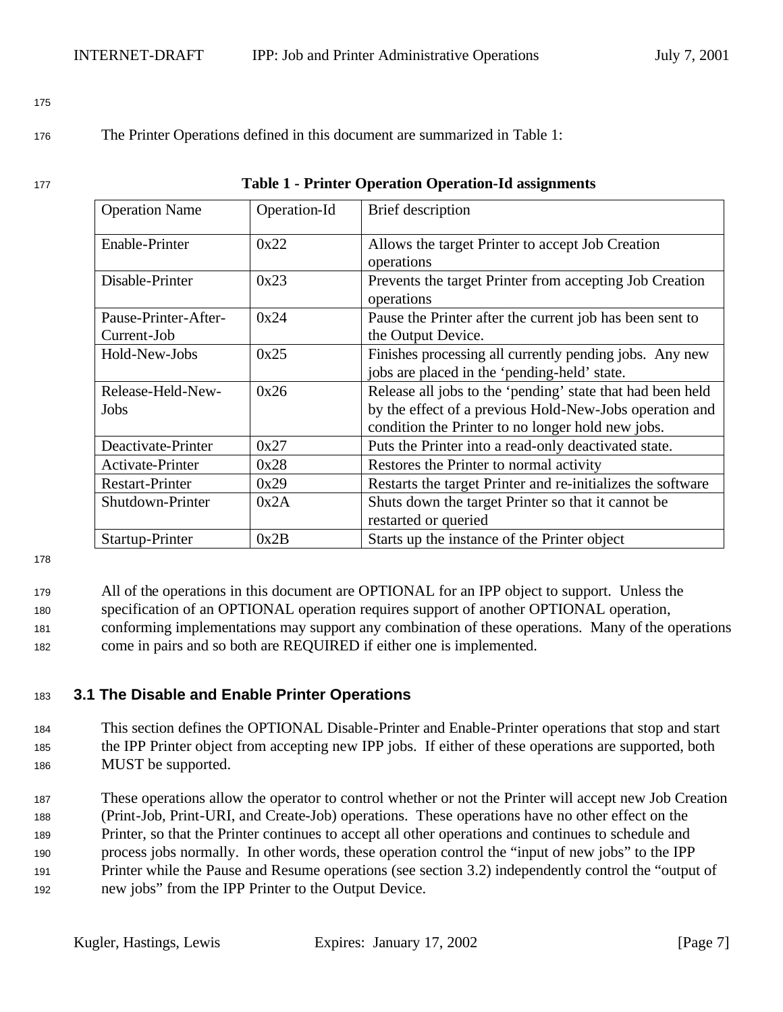<sup>176</sup> The Printer Operations defined in this document are summarized in Table 1:

| 177 | <b>Table 1 - Printer Operation Operation-Id assignments</b> |  |
|-----|-------------------------------------------------------------|--|
|-----|-------------------------------------------------------------|--|

| <b>Operation Name</b><br>Operation-Id |      | Brief description                                                                                                                                                          |
|---------------------------------------|------|----------------------------------------------------------------------------------------------------------------------------------------------------------------------------|
| <b>Enable-Printer</b>                 | 0x22 | Allows the target Printer to accept Job Creation<br>operations                                                                                                             |
| Disable-Printer                       | 0x23 | Prevents the target Printer from accepting Job Creation<br>operations                                                                                                      |
| Pause-Printer-After-<br>Current-Job   | 0x24 | Pause the Printer after the current job has been sent to<br>the Output Device.                                                                                             |
| Hold-New-Jobs                         | 0x25 | Finishes processing all currently pending jobs. Any new<br>jobs are placed in the 'pending-held' state.                                                                    |
| Release-Held-New-<br>Jobs             | 0x26 | Release all jobs to the 'pending' state that had been held<br>by the effect of a previous Hold-New-Jobs operation and<br>condition the Printer to no longer hold new jobs. |
| Deactivate-Printer                    | 0x27 | Puts the Printer into a read-only deactivated state.                                                                                                                       |
| Activate-Printer                      | 0x28 | Restores the Printer to normal activity                                                                                                                                    |
| <b>Restart-Printer</b>                | 0x29 | Restarts the target Printer and re-initializes the software                                                                                                                |
| Shutdown-Printer                      | 0x2A | Shuts down the target Printer so that it cannot be<br>restarted or queried                                                                                                 |
| Startup-Printer                       | 0x2B | Starts up the instance of the Printer object                                                                                                                               |

178

<sup>179</sup> All of the operations in this document are OPTIONAL for an IPP object to support. Unless the

<sup>180</sup> specification of an OPTIONAL operation requires support of another OPTIONAL operation,

<sup>181</sup> conforming implementations may support any combination of these operations. Many of the operations <sup>182</sup> come in pairs and so both are REQUIRED if either one is implemented.

### <sup>183</sup> **3.1 The Disable and Enable Printer Operations**

- <sup>184</sup> This section defines the OPTIONAL Disable-Printer and Enable-Printer operations that stop and start <sup>185</sup> the IPP Printer object from accepting new IPP jobs. If either of these operations are supported, both <sup>186</sup> MUST be supported.
- <sup>187</sup> These operations allow the operator to control whether or not the Printer will accept new Job Creation <sup>188</sup> (Print-Job, Print-URI, and Create-Job) operations. These operations have no other effect on the <sup>189</sup> Printer, so that the Printer continues to accept all other operations and continues to schedule and <sup>190</sup> process jobs normally. In other words, these operation control the "input of new jobs" to the IPP <sup>191</sup> Printer while the Pause and Resume operations (see section 3.2) independently control the "output of <sup>192</sup> new jobs" from the IPP Printer to the Output Device.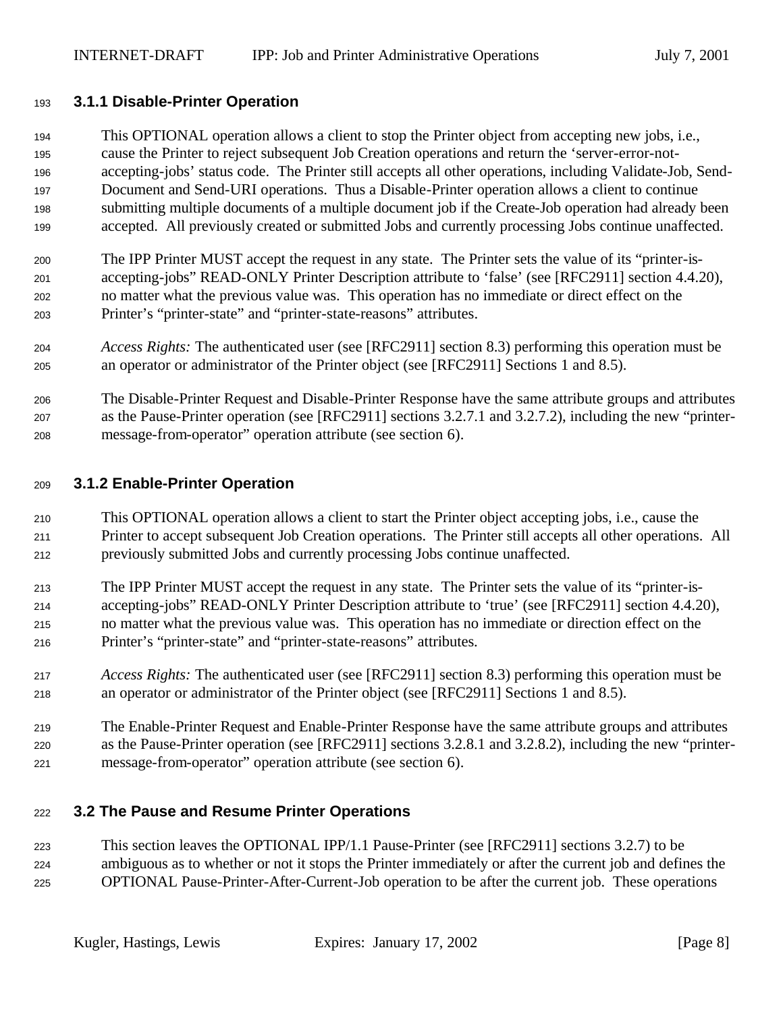#### **3.1.1 Disable-Printer Operation**

 This OPTIONAL operation allows a client to stop the Printer object from accepting new jobs, i.e., cause the Printer to reject subsequent Job Creation operations and return the 'server-error-not- accepting-jobs' status code. The Printer still accepts all other operations, including Validate-Job, Send- Document and Send-URI operations. Thus a Disable-Printer operation allows a client to continue submitting multiple documents of a multiple document job if the Create-Job operation had already been accepted. All previously created or submitted Jobs and currently processing Jobs continue unaffected.

 The IPP Printer MUST accept the request in any state. The Printer sets the value of its "printer-is- accepting-jobs" READ-ONLY Printer Description attribute to 'false' (see [RFC2911] section 4.4.20), no matter what the previous value was. This operation has no immediate or direct effect on the Printer's "printer-state" and "printer-state-reasons" attributes.

- *Access Rights:* The authenticated user (see [RFC2911] section 8.3) performing this operation must be an operator or administrator of the Printer object (see [RFC2911] Sections 1 and 8.5).
- The Disable-Printer Request and Disable-Printer Response have the same attribute groups and attributes as the Pause-Printer operation (see [RFC2911] sections 3.2.7.1 and 3.2.7.2), including the new "printer-message-from-operator" operation attribute (see section 6).

#### **3.1.2 Enable-Printer Operation**

- This OPTIONAL operation allows a client to start the Printer object accepting jobs, i.e., cause the Printer to accept subsequent Job Creation operations. The Printer still accepts all other operations. All previously submitted Jobs and currently processing Jobs continue unaffected.
- The IPP Printer MUST accept the request in any state. The Printer sets the value of its "printer-is- accepting-jobs" READ-ONLY Printer Description attribute to 'true' (see [RFC2911] section 4.4.20), no matter what the previous value was. This operation has no immediate or direction effect on the Printer's "printer-state" and "printer-state-reasons" attributes.
- *Access Rights:* The authenticated user (see [RFC2911] section 8.3) performing this operation must be an operator or administrator of the Printer object (see [RFC2911] Sections 1 and 8.5).
- The Enable-Printer Request and Enable-Printer Response have the same attribute groups and attributes as the Pause-Printer operation (see [RFC2911] sections 3.2.8.1 and 3.2.8.2), including the new "printer-message-from-operator" operation attribute (see section 6).

### **3.2 The Pause and Resume Printer Operations**

 This section leaves the OPTIONAL IPP/1.1 Pause-Printer (see [RFC2911] sections 3.2.7) to be ambiguous as to whether or not it stops the Printer immediately or after the current job and defines the OPTIONAL Pause-Printer-After-Current-Job operation to be after the current job. These operations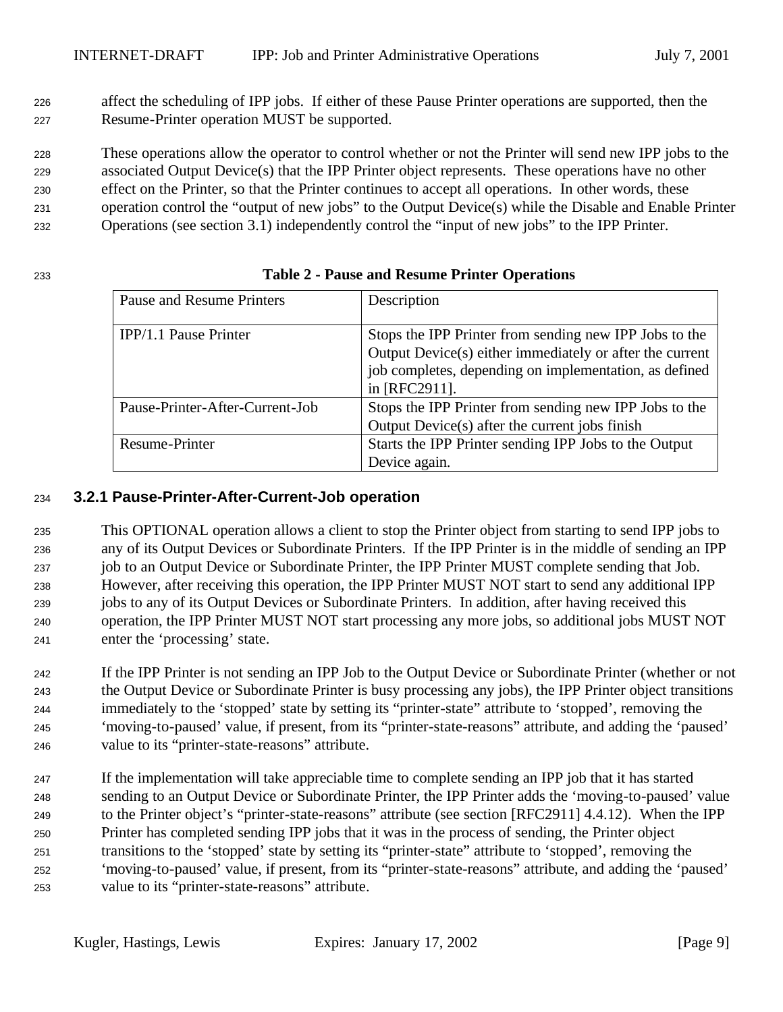affect the scheduling of IPP jobs. If either of these Pause Printer operations are supported, then the Resume-Printer operation MUST be supported.

 These operations allow the operator to control whether or not the Printer will send new IPP jobs to the associated Output Device(s) that the IPP Printer object represents. These operations have no other effect on the Printer, so that the Printer continues to accept all operations. In other words, these operation control the "output of new jobs" to the Output Device(s) while the Disable and Enable Printer Operations (see section 3.1) independently control the "input of new jobs" to the IPP Printer.

| Pause and Resume Printers       | Description                                              |
|---------------------------------|----------------------------------------------------------|
|                                 |                                                          |
| IPP/1.1 Pause Printer           | Stops the IPP Printer from sending new IPP Jobs to the   |
|                                 | Output Device(s) either immediately or after the current |
|                                 | job completes, depending on implementation, as defined   |
|                                 | in [RFC2911].                                            |
| Pause-Printer-After-Current-Job | Stops the IPP Printer from sending new IPP Jobs to the   |
|                                 | Output Device(s) after the current jobs finish           |
| Resume-Printer                  | Starts the IPP Printer sending IPP Jobs to the Output    |
|                                 | Device again.                                            |

## **Table 2 - Pause and Resume Printer Operations**

### **3.2.1 Pause-Printer-After-Current-Job operation**

 This OPTIONAL operation allows a client to stop the Printer object from starting to send IPP jobs to any of its Output Devices or Subordinate Printers. If the IPP Printer is in the middle of sending an IPP job to an Output Device or Subordinate Printer, the IPP Printer MUST complete sending that Job. However, after receiving this operation, the IPP Printer MUST NOT start to send any additional IPP jobs to any of its Output Devices or Subordinate Printers. In addition, after having received this operation, the IPP Printer MUST NOT start processing any more jobs, so additional jobs MUST NOT enter the 'processing' state.

 If the IPP Printer is not sending an IPP Job to the Output Device or Subordinate Printer (whether or not the Output Device or Subordinate Printer is busy processing any jobs), the IPP Printer object transitions immediately to the 'stopped' state by setting its "printer-state" attribute to 'stopped', removing the 'moving-to-paused' value, if present, from its "printer-state-reasons" attribute, and adding the 'paused' value to its "printer-state-reasons" attribute.

 If the implementation will take appreciable time to complete sending an IPP job that it has started sending to an Output Device or Subordinate Printer, the IPP Printer adds the 'moving-to-paused' value to the Printer object's "printer-state-reasons" attribute (see section [RFC2911] 4.4.12). When the IPP Printer has completed sending IPP jobs that it was in the process of sending, the Printer object transitions to the 'stopped' state by setting its "printer-state" attribute to 'stopped', removing the 'moving-to-paused' value, if present, from its "printer-state-reasons" attribute, and adding the 'paused' value to its "printer-state-reasons" attribute.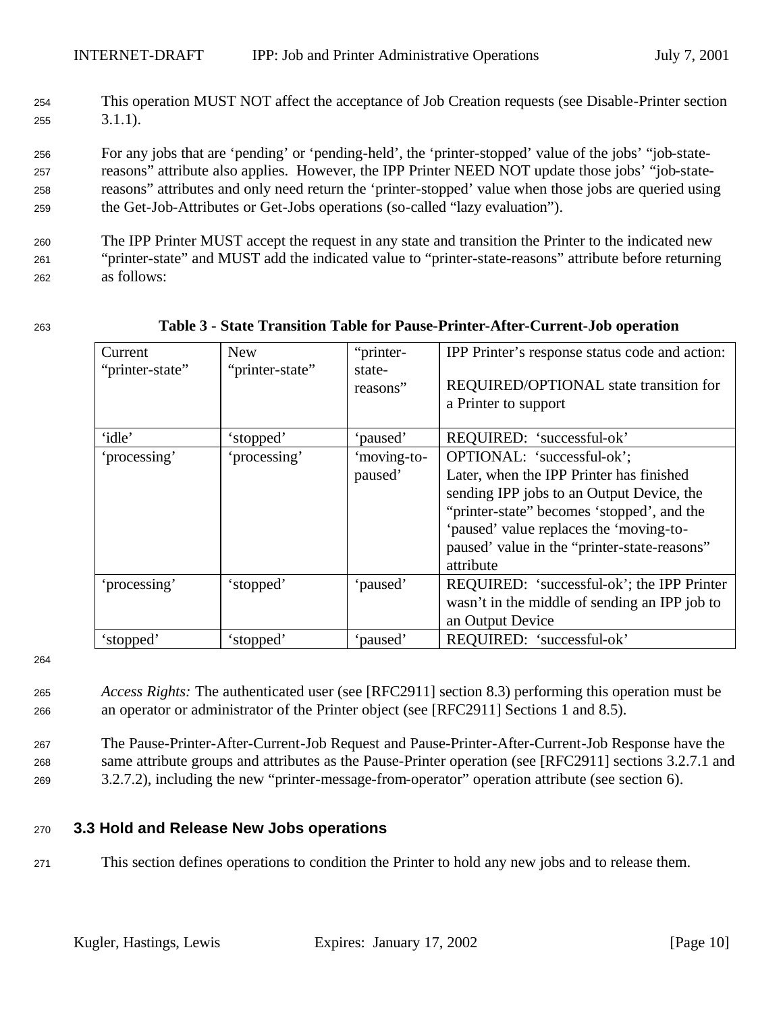<sup>254</sup> This operation MUST NOT affect the acceptance of Job Creation requests (see Disable-Printer section <sup>255</sup> 3.1.1).

 For any jobs that are 'pending' or 'pending-held', the 'printer-stopped' value of the jobs' "job-state- reasons" attribute also applies. However, the IPP Printer NEED NOT update those jobs' "job-state- reasons" attributes and only need return the 'printer-stopped' value when those jobs are queried using the Get-Job-Attributes or Get-Jobs operations (so-called "lazy evaluation").

<sup>260</sup> The IPP Printer MUST accept the request in any state and transition the Printer to the indicated new <sup>261</sup> "printer-state" and MUST add the indicated value to "printer-state-reasons" attribute before returning <sup>262</sup> as follows:

| Current         | <b>New</b>      | "printer-   | IPP Printer's response status code and action: |
|-----------------|-----------------|-------------|------------------------------------------------|
| "printer-state" | "printer-state" | state-      |                                                |
|                 |                 | reasons"    | REQUIRED/OPTIONAL state transition for         |
|                 |                 |             | a Printer to support                           |
|                 |                 |             |                                                |
| 'idle'          | 'stopped'       | 'paused'    | REQUIRED: 'successful-ok'                      |
| 'processing'    | 'processing'    | 'moving-to- | OPTIONAL: 'successful-ok';                     |
|                 |                 | paused'     | Later, when the IPP Printer has finished       |
|                 |                 |             | sending IPP jobs to an Output Device, the      |
|                 |                 |             | "printer-state" becomes 'stopped', and the     |
|                 |                 |             | 'paused' value replaces the 'moving-to-        |
|                 |                 |             | paused' value in the "printer-state-reasons"   |
|                 |                 |             | attribute                                      |
| 'processing'    | 'stopped'       | 'paused'    | REQUIRED: 'successful-ok'; the IPP Printer     |
|                 |                 |             | wasn't in the middle of sending an IPP job to  |
|                 |                 |             | an Output Device                               |
| 'stopped'       | 'stopped'       | 'paused'    | REQUIRED: 'successful-ok'                      |

#### <sup>263</sup> **Table 3 - State Transition Table for Pause-Printer-After-Current-Job operation**

264

<sup>265</sup> *Access Rights:* The authenticated user (see [RFC2911] section 8.3) performing this operation must be <sup>266</sup> an operator or administrator of the Printer object (see [RFC2911] Sections 1 and 8.5).

<sup>267</sup> The Pause-Printer-After-Current-Job Request and Pause-Printer-After-Current-Job Response have the <sup>268</sup> same attribute groups and attributes as the Pause-Printer operation (see [RFC2911] sections 3.2.7.1 and <sup>269</sup> 3.2.7.2), including the new "printer-message-from-operator" operation attribute (see section 6).

### <sup>270</sup> **3.3 Hold and Release New Jobs operations**

<sup>271</sup> This section defines operations to condition the Printer to hold any new jobs and to release them.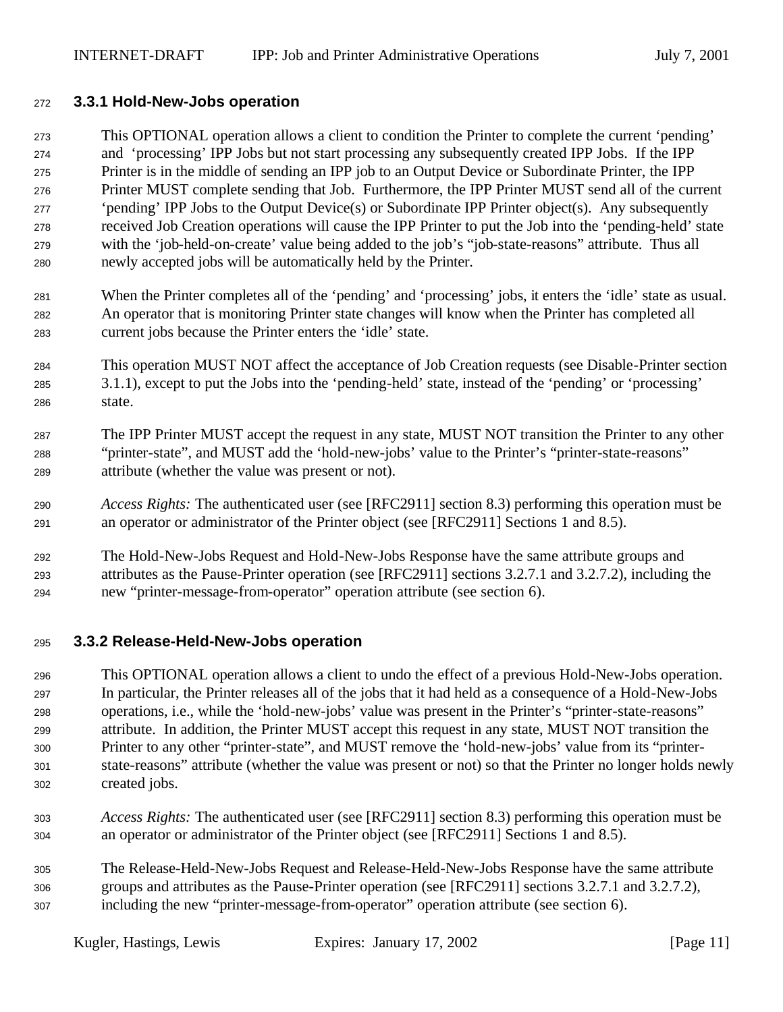#### **3.3.1 Hold-New-Jobs operation**

 This OPTIONAL operation allows a client to condition the Printer to complete the current 'pending' and 'processing' IPP Jobs but not start processing any subsequently created IPP Jobs. If the IPP Printer is in the middle of sending an IPP job to an Output Device or Subordinate Printer, the IPP Printer MUST complete sending that Job. Furthermore, the IPP Printer MUST send all of the current 'pending' IPP Jobs to the Output Device(s) or Subordinate IPP Printer object(s). Any subsequently received Job Creation operations will cause the IPP Printer to put the Job into the 'pending-held' state with the 'job-held-on-create' value being added to the job's "job-state-reasons" attribute. Thus all newly accepted jobs will be automatically held by the Printer.

- When the Printer completes all of the 'pending' and 'processing' jobs, it enters the 'idle' state as usual. An operator that is monitoring Printer state changes will know when the Printer has completed all current jobs because the Printer enters the 'idle' state.
- This operation MUST NOT affect the acceptance of Job Creation requests (see Disable-Printer section 3.1.1), except to put the Jobs into the 'pending-held' state, instead of the 'pending' or 'processing' state.
- The IPP Printer MUST accept the request in any state, MUST NOT transition the Printer to any other "printer-state", and MUST add the 'hold-new-jobs' value to the Printer's "printer-state-reasons" attribute (whether the value was present or not).
- *Access Rights:* The authenticated user (see [RFC2911] section 8.3) performing this operation must be an operator or administrator of the Printer object (see [RFC2911] Sections 1 and 8.5).
- The Hold-New-Jobs Request and Hold-New-Jobs Response have the same attribute groups and attributes as the Pause-Printer operation (see [RFC2911] sections 3.2.7.1 and 3.2.7.2), including the new "printer-message-from-operator" operation attribute (see section 6).

### **3.3.2 Release-Held-New-Jobs operation**

 This OPTIONAL operation allows a client to undo the effect of a previous Hold-New-Jobs operation. In particular, the Printer releases all of the jobs that it had held as a consequence of a Hold-New-Jobs operations, i.e., while the 'hold-new-jobs' value was present in the Printer's "printer-state-reasons" attribute. In addition, the Printer MUST accept this request in any state, MUST NOT transition the Printer to any other "printer-state", and MUST remove the 'hold-new-jobs' value from its "printer- state-reasons" attribute (whether the value was present or not) so that the Printer no longer holds newly created jobs.

- *Access Rights:* The authenticated user (see [RFC2911] section 8.3) performing this operation must be an operator or administrator of the Printer object (see [RFC2911] Sections 1 and 8.5).
- The Release-Held-New-Jobs Request and Release-Held-New-Jobs Response have the same attribute groups and attributes as the Pause-Printer operation (see [RFC2911] sections 3.2.7.1 and 3.2.7.2), including the new "printer-message-from-operator" operation attribute (see section 6).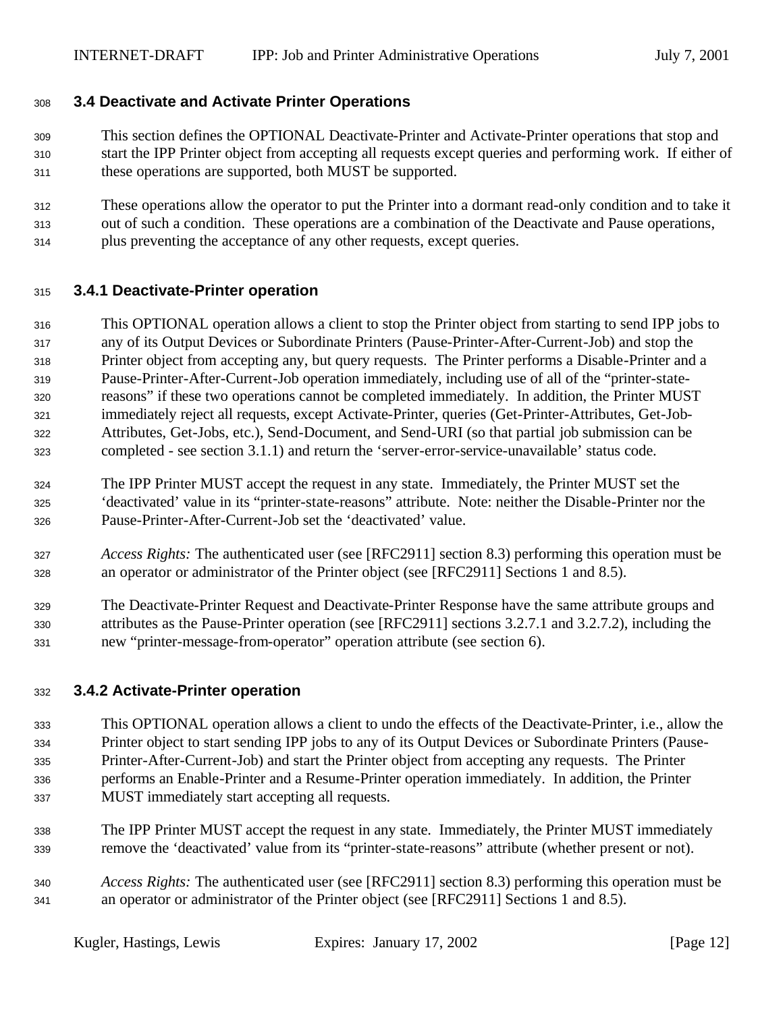#### **3.4 Deactivate and Activate Printer Operations**

- This section defines the OPTIONAL Deactivate-Printer and Activate-Printer operations that stop and start the IPP Printer object from accepting all requests except queries and performing work. If either of these operations are supported, both MUST be supported.
- These operations allow the operator to put the Printer into a dormant read-only condition and to take it out of such a condition. These operations are a combination of the Deactivate and Pause operations, plus preventing the acceptance of any other requests, except queries.

#### **3.4.1 Deactivate-Printer operation**

- This OPTIONAL operation allows a client to stop the Printer object from starting to send IPP jobs to any of its Output Devices or Subordinate Printers (Pause-Printer-After-Current-Job) and stop the Printer object from accepting any, but query requests. The Printer performs a Disable-Printer and a Pause-Printer-After-Current-Job operation immediately, including use of all of the "printer-state- reasons" if these two operations cannot be completed immediately. In addition, the Printer MUST immediately reject all requests, except Activate-Printer, queries (Get-Printer-Attributes, Get-Job- Attributes, Get-Jobs, etc.), Send-Document, and Send-URI (so that partial job submission can be completed - see section 3.1.1) and return the 'server-error-service-unavailable' status code.
- The IPP Printer MUST accept the request in any state. Immediately, the Printer MUST set the 'deactivated' value in its "printer-state-reasons" attribute. Note: neither the Disable-Printer nor the Pause-Printer-After-Current-Job set the 'deactivated' value.
- *Access Rights:* The authenticated user (see [RFC2911] section 8.3) performing this operation must be an operator or administrator of the Printer object (see [RFC2911] Sections 1 and 8.5).
- The Deactivate-Printer Request and Deactivate-Printer Response have the same attribute groups and attributes as the Pause-Printer operation (see [RFC2911] sections 3.2.7.1 and 3.2.7.2), including the new "printer-message-from-operator" operation attribute (see section 6).

#### **3.4.2 Activate-Printer operation**

- This OPTIONAL operation allows a client to undo the effects of the Deactivate-Printer, i.e., allow the Printer object to start sending IPP jobs to any of its Output Devices or Subordinate Printers (Pause- Printer-After-Current-Job) and start the Printer object from accepting any requests. The Printer performs an Enable-Printer and a Resume-Printer operation immediately. In addition, the Printer MUST immediately start accepting all requests.
- The IPP Printer MUST accept the request in any state. Immediately, the Printer MUST immediately remove the 'deactivated' value from its "printer-state-reasons" attribute (whether present or not).
- *Access Rights:* The authenticated user (see [RFC2911] section 8.3) performing this operation must be an operator or administrator of the Printer object (see [RFC2911] Sections 1 and 8.5).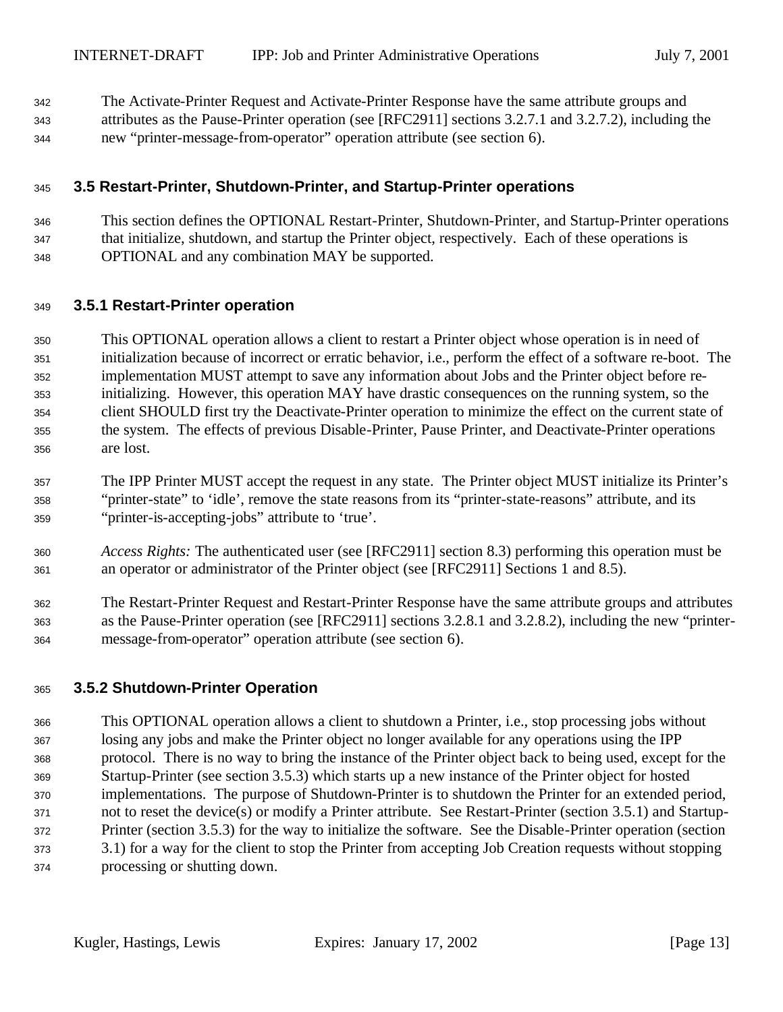- The Activate-Printer Request and Activate-Printer Response have the same attribute groups and
- attributes as the Pause-Printer operation (see [RFC2911] sections 3.2.7.1 and 3.2.7.2), including the new "printer-message-from-operator" operation attribute (see section 6).

### **3.5 Restart-Printer, Shutdown-Printer, and Startup-Printer operations**

 This section defines the OPTIONAL Restart-Printer, Shutdown-Printer, and Startup-Printer operations that initialize, shutdown, and startup the Printer object, respectively. Each of these operations is OPTIONAL and any combination MAY be supported.

#### **3.5.1 Restart-Printer operation**

 This OPTIONAL operation allows a client to restart a Printer object whose operation is in need of initialization because of incorrect or erratic behavior, i.e., perform the effect of a software re-boot. The implementation MUST attempt to save any information about Jobs and the Printer object before re- initializing. However, this operation MAY have drastic consequences on the running system, so the client SHOULD first try the Deactivate-Printer operation to minimize the effect on the current state of the system. The effects of previous Disable-Printer, Pause Printer, and Deactivate-Printer operations are lost.

 The IPP Printer MUST accept the request in any state. The Printer object MUST initialize its Printer's "printer-state" to 'idle', remove the state reasons from its "printer-state-reasons" attribute, and its "printer-is-accepting-jobs" attribute to 'true'.

- *Access Rights:* The authenticated user (see [RFC2911] section 8.3) performing this operation must be an operator or administrator of the Printer object (see [RFC2911] Sections 1 and 8.5).
- The Restart-Printer Request and Restart-Printer Response have the same attribute groups and attributes as the Pause-Printer operation (see [RFC2911] sections 3.2.8.1 and 3.2.8.2), including the new "printer-message-from-operator" operation attribute (see section 6).

### **3.5.2 Shutdown-Printer Operation**

 This OPTIONAL operation allows a client to shutdown a Printer, i.e., stop processing jobs without losing any jobs and make the Printer object no longer available for any operations using the IPP protocol. There is no way to bring the instance of the Printer object back to being used, except for the Startup-Printer (see section 3.5.3) which starts up a new instance of the Printer object for hosted implementations. The purpose of Shutdown-Printer is to shutdown the Printer for an extended period, not to reset the device(s) or modify a Printer attribute. See Restart-Printer (section 3.5.1) and Startup- Printer (section 3.5.3) for the way to initialize the software. See the Disable-Printer operation (section 3.1) for a way for the client to stop the Printer from accepting Job Creation requests without stopping processing or shutting down.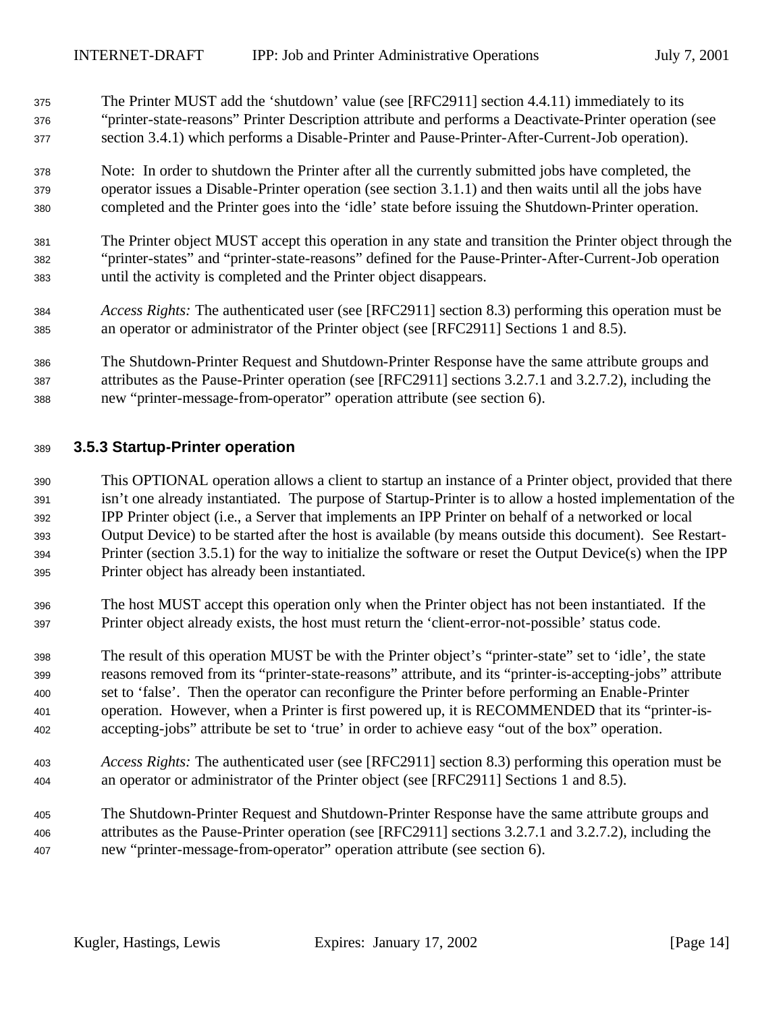- The Printer MUST add the 'shutdown' value (see [RFC2911] section 4.4.11) immediately to its "printer-state-reasons" Printer Description attribute and performs a Deactivate-Printer operation (see section 3.4.1) which performs a Disable-Printer and Pause-Printer-After-Current-Job operation).
- Note: In order to shutdown the Printer after all the currently submitted jobs have completed, the operator issues a Disable-Printer operation (see section 3.1.1) and then waits until all the jobs have completed and the Printer goes into the 'idle' state before issuing the Shutdown-Printer operation.
- The Printer object MUST accept this operation in any state and transition the Printer object through the "printer-states" and "printer-state-reasons" defined for the Pause-Printer-After-Current-Job operation until the activity is completed and the Printer object disappears.
- *Access Rights:* The authenticated user (see [RFC2911] section 8.3) performing this operation must be an operator or administrator of the Printer object (see [RFC2911] Sections 1 and 8.5).
- The Shutdown-Printer Request and Shutdown-Printer Response have the same attribute groups and attributes as the Pause-Printer operation (see [RFC2911] sections 3.2.7.1 and 3.2.7.2), including the new "printer-message-from-operator" operation attribute (see section 6).

#### **3.5.3 Startup-Printer operation**

 This OPTIONAL operation allows a client to startup an instance of a Printer object, provided that there isn't one already instantiated. The purpose of Startup-Printer is to allow a hosted implementation of the IPP Printer object (i.e., a Server that implements an IPP Printer on behalf of a networked or local Output Device) to be started after the host is available (by means outside this document). See Restart- Printer (section 3.5.1) for the way to initialize the software or reset the Output Device(s) when the IPP Printer object has already been instantiated.

- The host MUST accept this operation only when the Printer object has not been instantiated. If the Printer object already exists, the host must return the 'client-error-not-possible' status code.
- The result of this operation MUST be with the Printer object's "printer-state" set to 'idle', the state reasons removed from its "printer-state-reasons" attribute, and its "printer-is-accepting-jobs" attribute set to 'false'. Then the operator can reconfigure the Printer before performing an Enable-Printer operation. However, when a Printer is first powered up, it is RECOMMENDED that its "printer-is-accepting-jobs" attribute be set to 'true' in order to achieve easy "out of the box" operation.
- *Access Rights:* The authenticated user (see [RFC2911] section 8.3) performing this operation must be an operator or administrator of the Printer object (see [RFC2911] Sections 1 and 8.5).

 The Shutdown-Printer Request and Shutdown-Printer Response have the same attribute groups and attributes as the Pause-Printer operation (see [RFC2911] sections 3.2.7.1 and 3.2.7.2), including the new "printer-message-from-operator" operation attribute (see section 6).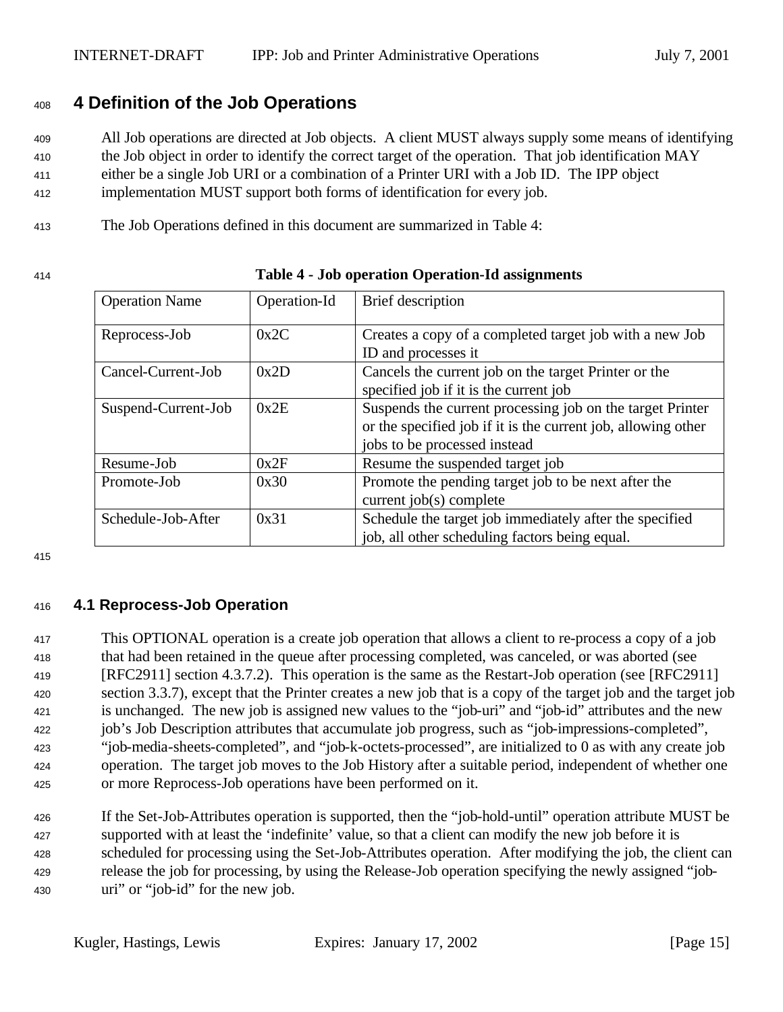## **4 Definition of the Job Operations**

 All Job operations are directed at Job objects. A client MUST always supply some means of identifying the Job object in order to identify the correct target of the operation. That job identification MAY either be a single Job URI or a combination of a Printer URI with a Job ID. The IPP object implementation MUST support both forms of identification for every job.

The Job Operations defined in this document are summarized in Table 4:

#### **Table 4 - Job operation Operation-Id assignments**

| <b>Operation Name</b>       | Operation-Id | Brief description                                             |
|-----------------------------|--------------|---------------------------------------------------------------|
| Reprocess-Job               | 0x2C         | Creates a copy of a completed target job with a new Job       |
|                             |              | ID and processes it                                           |
| Cancel-Current-Job          | 0x2D         | Cancels the current job on the target Printer or the          |
|                             |              | specified job if it is the current job                        |
| 0x2E<br>Suspend-Current-Job |              | Suspends the current processing job on the target Printer     |
|                             |              | or the specified job if it is the current job, allowing other |
|                             |              | jobs to be processed instead                                  |
| Resume-Job                  | 0x2F         | Resume the suspended target job                               |
| Promote-Job                 | 0x30         | Promote the pending target job to be next after the           |
|                             |              | current $job(s)$ complete                                     |
| Schedule-Job-After          | 0x31         | Schedule the target job immediately after the specified       |
|                             |              | job, all other scheduling factors being equal.                |

## **4.1 Reprocess-Job Operation**

 This OPTIONAL operation is a create job operation that allows a client to re-process a copy of a job that had been retained in the queue after processing completed, was canceled, or was aborted (see [RFC2911] section 4.3.7.2). This operation is the same as the Restart-Job operation (see [RFC2911] section 3.3.7), except that the Printer creates a new job that is a copy of the target job and the target job is unchanged. The new job is assigned new values to the "job-uri" and "job-id" attributes and the new job's Job Description attributes that accumulate job progress, such as "job-impressions-completed", "job-media-sheets-completed", and "job-k-octets-processed", are initialized to 0 as with any create job operation. The target job moves to the Job History after a suitable period, independent of whether one or more Reprocess-Job operations have been performed on it.

 If the Set-Job-Attributes operation is supported, then the "job-hold-until" operation attribute MUST be supported with at least the 'indefinite' value, so that a client can modify the new job before it is scheduled for processing using the Set-Job-Attributes operation. After modifying the job, the client can release the job for processing, by using the Release-Job operation specifying the newly assigned "job-uri" or "job-id" for the new job.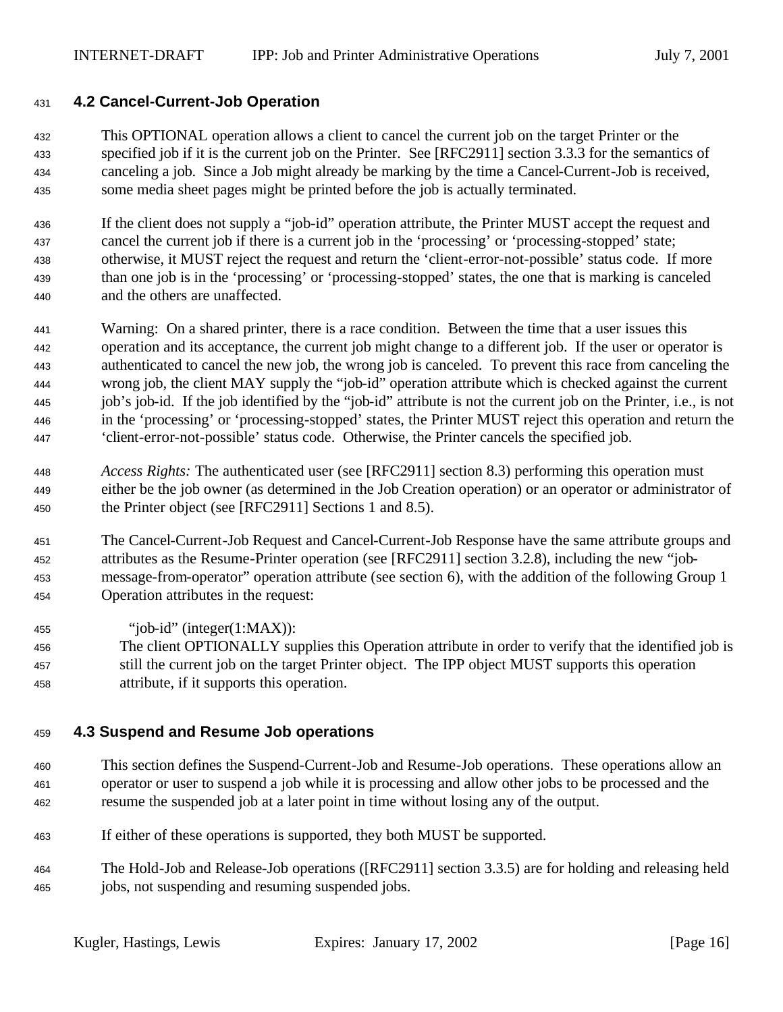#### **4.2 Cancel-Current-Job Operation**

 This OPTIONAL operation allows a client to cancel the current job on the target Printer or the specified job if it is the current job on the Printer. See [RFC2911] section 3.3.3 for the semantics of canceling a job. Since a Job might already be marking by the time a Cancel-Current-Job is received, some media sheet pages might be printed before the job is actually terminated.

 If the client does not supply a "job-id" operation attribute, the Printer MUST accept the request and cancel the current job if there is a current job in the 'processing' or 'processing-stopped' state; otherwise, it MUST reject the request and return the 'client-error-not-possible' status code. If more than one job is in the 'processing' or 'processing-stopped' states, the one that is marking is canceled and the others are unaffected.

- Warning: On a shared printer, there is a race condition. Between the time that a user issues this operation and its acceptance, the current job might change to a different job. If the user or operator is authenticated to cancel the new job, the wrong job is canceled. To prevent this race from canceling the wrong job, the client MAY supply the "job-id" operation attribute which is checked against the current job's job-id. If the job identified by the "job-id" attribute is not the current job on the Printer, i.e., is not in the 'processing' or 'processing-stopped' states, the Printer MUST reject this operation and return the 'client-error-not-possible' status code. Otherwise, the Printer cancels the specified job.
- *Access Rights:* The authenticated user (see [RFC2911] section 8.3) performing this operation must either be the job owner (as determined in the Job Creation operation) or an operator or administrator of the Printer object (see [RFC2911] Sections 1 and 8.5).
- The Cancel-Current-Job Request and Cancel-Current-Job Response have the same attribute groups and attributes as the Resume-Printer operation (see [RFC2911] section 3.2.8), including the new "job- message-from-operator" operation attribute (see section 6), with the addition of the following Group 1 Operation attributes in the request:
- 455 "iob-id" (integer $(1:MAX)$ ):
- The client OPTIONALLY supplies this Operation attribute in order to verify that the identified job is still the current job on the target Printer object. The IPP object MUST supports this operation attribute, if it supports this operation.

### **4.3 Suspend and Resume Job operations**

- This section defines the Suspend-Current-Job and Resume-Job operations. These operations allow an operator or user to suspend a job while it is processing and allow other jobs to be processed and the resume the suspended job at a later point in time without losing any of the output.
- If either of these operations is supported, they both MUST be supported.
- The Hold-Job and Release-Job operations ([RFC2911] section 3.3.5) are for holding and releasing held jobs, not suspending and resuming suspended jobs.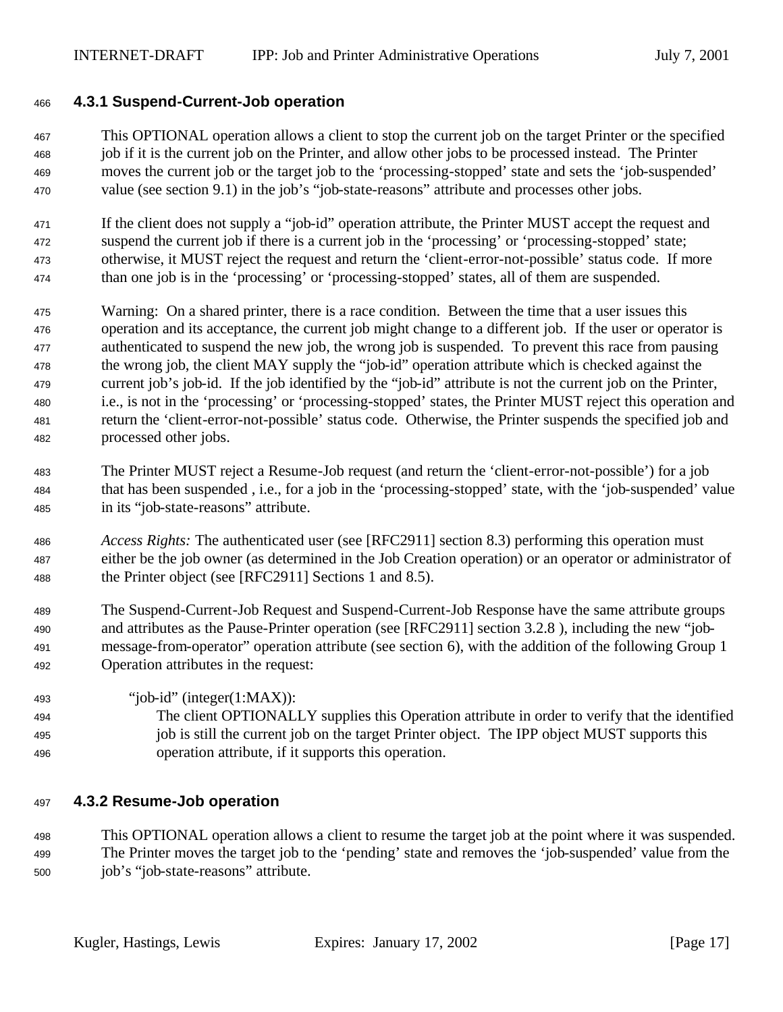#### **4.3.1 Suspend-Current-Job operation**

 This OPTIONAL operation allows a client to stop the current job on the target Printer or the specified job if it is the current job on the Printer, and allow other jobs to be processed instead. The Printer moves the current job or the target job to the 'processing-stopped' state and sets the 'job-suspended' value (see section 9.1) in the job's "job-state-reasons" attribute and processes other jobs.

 If the client does not supply a "job-id" operation attribute, the Printer MUST accept the request and suspend the current job if there is a current job in the 'processing' or 'processing-stopped' state; otherwise, it MUST reject the request and return the 'client-error-not-possible' status code. If more than one job is in the 'processing' or 'processing-stopped' states, all of them are suspended.

- Warning: On a shared printer, there is a race condition. Between the time that a user issues this operation and its acceptance, the current job might change to a different job. If the user or operator is authenticated to suspend the new job, the wrong job is suspended. To prevent this race from pausing the wrong job, the client MAY supply the "job-id" operation attribute which is checked against the current job's job-id. If the job identified by the "job-id" attribute is not the current job on the Printer, i.e., is not in the 'processing' or 'processing-stopped' states, the Printer MUST reject this operation and return the 'client-error-not-possible' status code. Otherwise, the Printer suspends the specified job and processed other jobs.
- The Printer MUST reject a Resume-Job request (and return the 'client-error-not-possible') for a job that has been suspended , i.e., for a job in the 'processing-stopped' state, with the 'job-suspended' value in its "job-state-reasons" attribute.
- *Access Rights:* The authenticated user (see [RFC2911] section 8.3) performing this operation must either be the job owner (as determined in the Job Creation operation) or an operator or administrator of the Printer object (see [RFC2911] Sections 1 and 8.5).
- The Suspend-Current-Job Request and Suspend-Current-Job Response have the same attribute groups and attributes as the Pause-Printer operation (see [RFC2911] section 3.2.8 ), including the new "job- message-from-operator" operation attribute (see section 6), with the addition of the following Group 1 Operation attributes in the request:
- "iob-id" (integer(1:MAX)): The client OPTIONALLY supplies this Operation attribute in order to verify that the identified job is still the current job on the target Printer object. The IPP object MUST supports this operation attribute, if it supports this operation.

#### **4.3.2 Resume-Job operation**

 This OPTIONAL operation allows a client to resume the target job at the point where it was suspended. The Printer moves the target job to the 'pending' state and removes the 'job-suspended' value from the job's "job-state-reasons" attribute.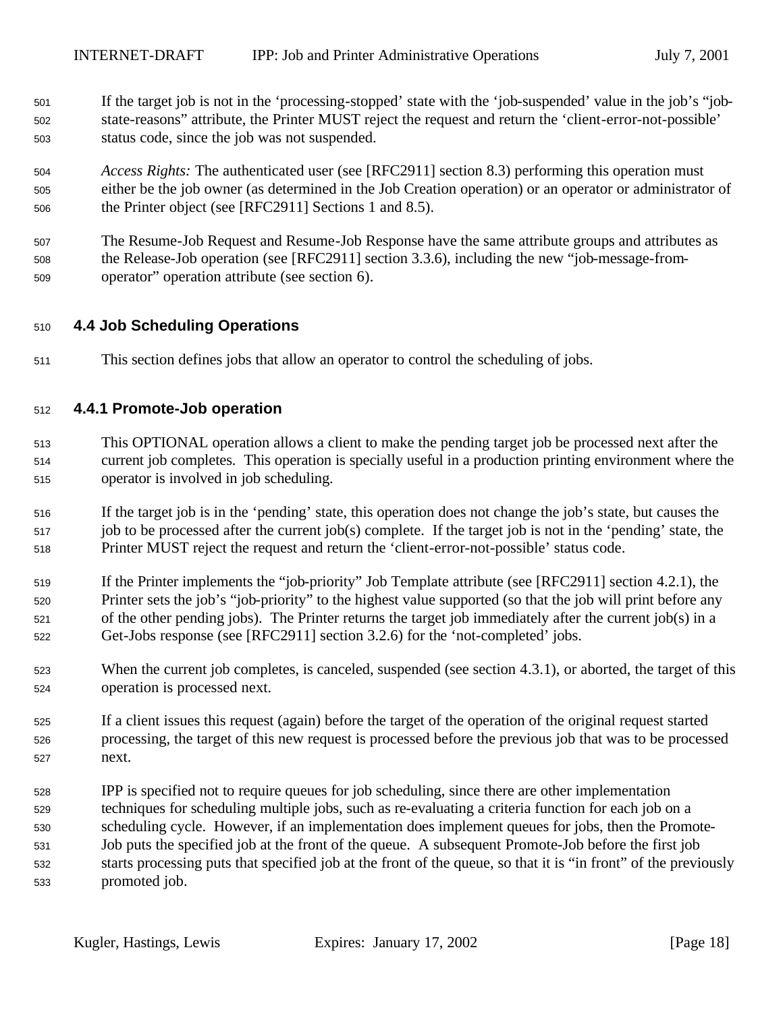- If the target job is not in the 'processing-stopped' state with the 'job-suspended' value in the job's "job- state-reasons" attribute, the Printer MUST reject the request and return the 'client-error-not-possible' status code, since the job was not suspended.
- *Access Rights:* The authenticated user (see [RFC2911] section 8.3) performing this operation must either be the job owner (as determined in the Job Creation operation) or an operator or administrator of the Printer object (see [RFC2911] Sections 1 and 8.5).
- The Resume-Job Request and Resume-Job Response have the same attribute groups and attributes as the Release-Job operation (see [RFC2911] section 3.3.6), including the new "job-message-from-operator" operation attribute (see section 6).

#### **4.4 Job Scheduling Operations**

This section defines jobs that allow an operator to control the scheduling of jobs.

#### **4.4.1 Promote-Job operation**

- This OPTIONAL operation allows a client to make the pending target job be processed next after the current job completes. This operation is specially useful in a production printing environment where the operator is involved in job scheduling.
- If the target job is in the 'pending' state, this operation does not change the job's state, but causes the job to be processed after the current job(s) complete. If the target job is not in the 'pending' state, the Printer MUST reject the request and return the 'client-error-not-possible' status code.
- If the Printer implements the "job-priority" Job Template attribute (see [RFC2911] section 4.2.1), the Printer sets the job's "job-priority" to the highest value supported (so that the job will print before any of the other pending jobs). The Printer returns the target job immediately after the current job(s) in a Get-Jobs response (see [RFC2911] section 3.2.6) for the 'not-completed' jobs.
- 523 When the current job completes, is canceled, suspended (see section 4.3.1), or aborted, the target of this operation is processed next.
- If a client issues this request (again) before the target of the operation of the original request started processing, the target of this new request is processed before the previous job that was to be processed next.
- IPP is specified not to require queues for job scheduling, since there are other implementation techniques for scheduling multiple jobs, such as re-evaluating a criteria function for each job on a scheduling cycle. However, if an implementation does implement queues for jobs, then the Promote- Job puts the specified job at the front of the queue. A subsequent Promote-Job before the first job starts processing puts that specified job at the front of the queue, so that it is "in front" of the previously promoted job.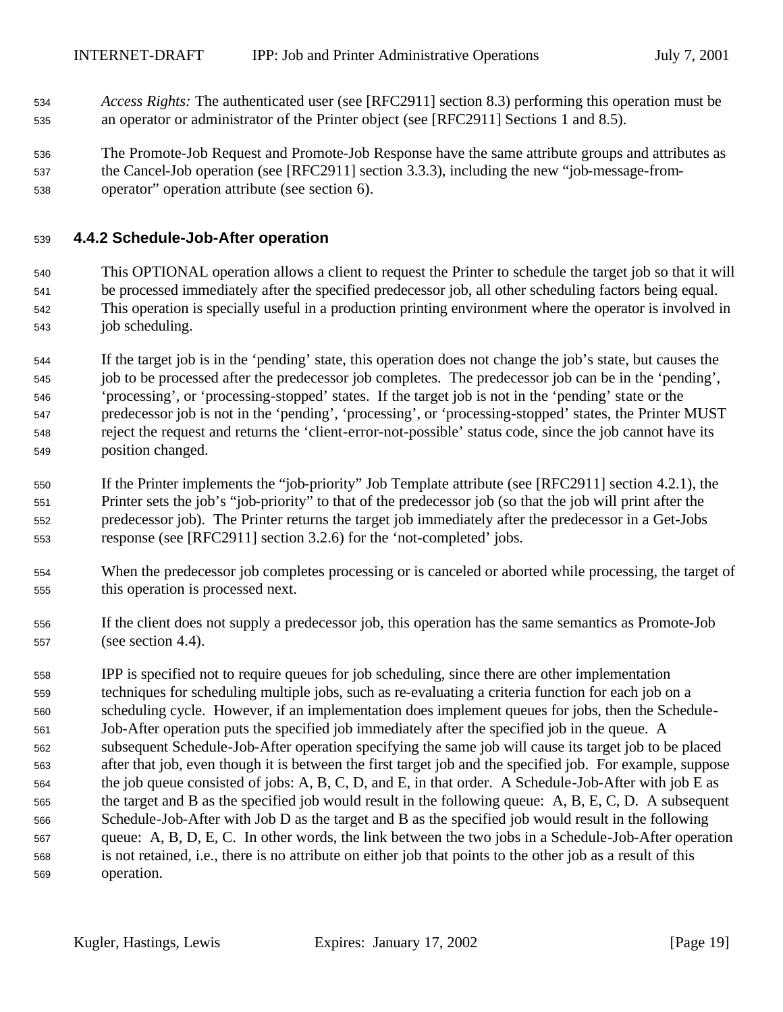- *Access Rights:* The authenticated user (see [RFC2911] section 8.3) performing this operation must be an operator or administrator of the Printer object (see [RFC2911] Sections 1 and 8.5).
- The Promote-Job Request and Promote-Job Response have the same attribute groups and attributes as the Cancel-Job operation (see [RFC2911] section 3.3.3), including the new "job-message-from-operator" operation attribute (see section 6).

### **4.4.2 Schedule-Job-After operation**

- This OPTIONAL operation allows a client to request the Printer to schedule the target job so that it will be processed immediately after the specified predecessor job, all other scheduling factors being equal. This operation is specially useful in a production printing environment where the operator is involved in job scheduling.
- If the target job is in the 'pending' state, this operation does not change the job's state, but causes the job to be processed after the predecessor job completes. The predecessor job can be in the 'pending', 'processing', or 'processing-stopped' states. If the target job is not in the 'pending' state or the predecessor job is not in the 'pending', 'processing', or 'processing-stopped' states, the Printer MUST reject the request and returns the 'client-error-not-possible' status code, since the job cannot have its position changed.
- If the Printer implements the "job-priority" Job Template attribute (see [RFC2911] section 4.2.1), the Printer sets the job's "job-priority" to that of the predecessor job (so that the job will print after the predecessor job). The Printer returns the target job immediately after the predecessor in a Get-Jobs response (see [RFC2911] section 3.2.6) for the 'not-completed' jobs.
- When the predecessor job completes processing or is canceled or aborted while processing, the target of this operation is processed next.
- If the client does not supply a predecessor job, this operation has the same semantics as Promote-Job (see section 4.4).
- IPP is specified not to require queues for job scheduling, since there are other implementation techniques for scheduling multiple jobs, such as re-evaluating a criteria function for each job on a scheduling cycle. However, if an implementation does implement queues for jobs, then the Schedule- Job-After operation puts the specified job immediately after the specified job in the queue. A subsequent Schedule-Job-After operation specifying the same job will cause its target job to be placed after that job, even though it is between the first target job and the specified job. For example, suppose the job queue consisted of jobs: A, B, C, D, and E, in that order. A Schedule-Job-After with job E as the target and B as the specified job would result in the following queue: A, B, E, C, D. A subsequent Schedule-Job-After with Job D as the target and B as the specified job would result in the following queue: A, B, D, E, C. In other words, the link between the two jobs in a Schedule-Job-After operation is not retained, i.e., there is no attribute on either job that points to the other job as a result of this operation.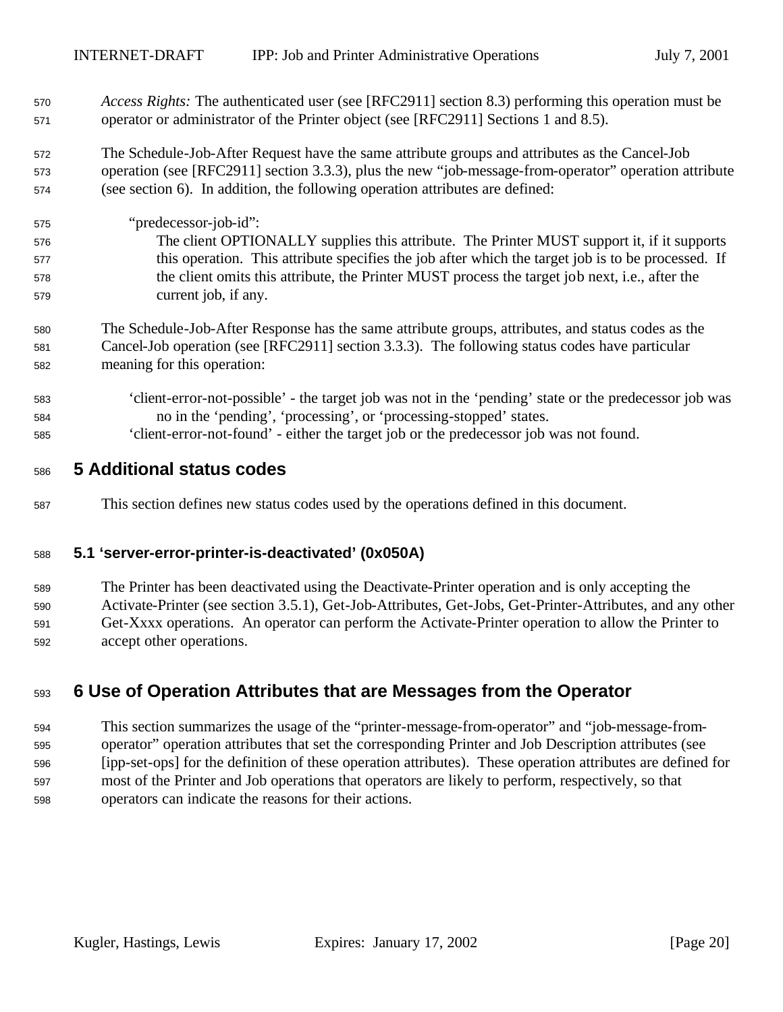- *Access Rights:* The authenticated user (see [RFC2911] section 8.3) performing this operation must be operator or administrator of the Printer object (see [RFC2911] Sections 1 and 8.5).
- The Schedule-Job-After Request have the same attribute groups and attributes as the Cancel-Job operation (see [RFC2911] section 3.3.3), plus the new "job-message-from-operator" operation attribute (see section 6). In addition, the following operation attributes are defined:
- "predecessor-job-id": The client OPTIONALLY supplies this attribute. The Printer MUST support it, if it supports this operation. This attribute specifies the job after which the target job is to be processed. If the client omits this attribute, the Printer MUST process the target job next, i.e., after the current job, if any.
- The Schedule-Job-After Response has the same attribute groups, attributes, and status codes as the Cancel-Job operation (see [RFC2911] section 3.3.3). The following status codes have particular meaning for this operation:
- 'client-error-not-possible' the target job was not in the 'pending' state or the predecessor job was no in the 'pending', 'processing', or 'processing-stopped' states.
- 'client-error-not-found' either the target job or the predecessor job was not found.

## **5 Additional status codes**

This section defines new status codes used by the operations defined in this document.

### **5.1 'server-error-printer-is-deactivated' (0x050A)**

 The Printer has been deactivated using the Deactivate-Printer operation and is only accepting the Activate-Printer (see section 3.5.1), Get-Job-Attributes, Get-Jobs, Get-Printer-Attributes, and any other Get-Xxxx operations. An operator can perform the Activate-Printer operation to allow the Printer to accept other operations.

## **6 Use of Operation Attributes that are Messages from the Operator**

 This section summarizes the usage of the "printer-message-from-operator" and "job-message-from- operator" operation attributes that set the corresponding Printer and Job Description attributes (see [ipp-set-ops] for the definition of these operation attributes). These operation attributes are defined for most of the Printer and Job operations that operators are likely to perform, respectively, so that operators can indicate the reasons for their actions.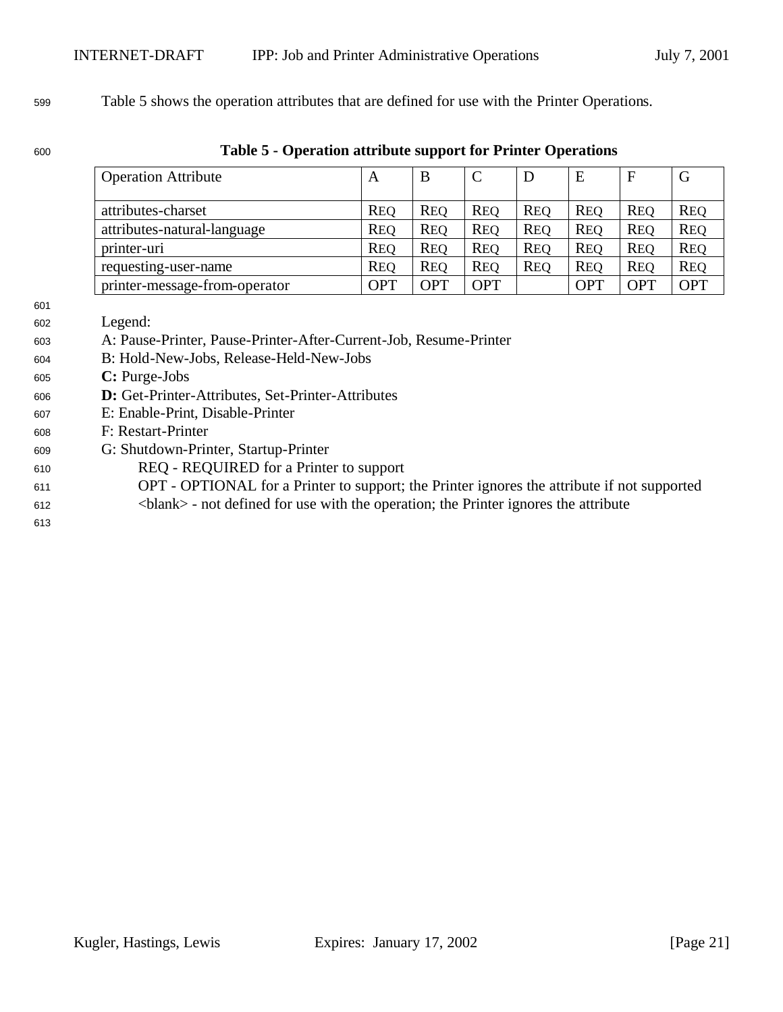Table 5 shows the operation attributes that are defined for use with the Printer Operations.

#### **Table 5 - Operation attribute support for Printer Operations**

| <b>Operation Attribute</b>    | A          | B          | $\mathcal{C}$ | D          | E          | $\mathbf{F}$ | G          |
|-------------------------------|------------|------------|---------------|------------|------------|--------------|------------|
|                               |            |            |               |            |            |              |            |
| attributes-charset            | <b>REQ</b> | <b>REQ</b> | <b>REO</b>    | <b>REO</b> | <b>REO</b> | <b>REO</b>   | <b>REQ</b> |
| attributes-natural-language   | <b>REQ</b> | <b>REQ</b> | <b>REQ</b>    | <b>REQ</b> | <b>REQ</b> | <b>REQ</b>   | <b>REQ</b> |
| printer-uri                   | <b>REQ</b> | <b>REO</b> | <b>REO</b>    | <b>REQ</b> | <b>REO</b> | <b>REQ</b>   | <b>REQ</b> |
| requesting-user-name          | <b>REQ</b> | <b>REQ</b> | <b>REO</b>    | <b>REO</b> | <b>REO</b> | <b>REQ</b>   | <b>REQ</b> |
| printer-message-from-operator | <b>OPT</b> | <b>OPT</b> | <b>OPT</b>    |            | <b>OPT</b> | <b>OPT</b>   | <b>OPT</b> |

- Legend:
- A: Pause-Printer, Pause-Printer-After-Current-Job, Resume-Printer
- B: Hold-New-Jobs, Release-Held-New-Jobs
- **C:** Purge-Jobs
- **D:** Get-Printer-Attributes, Set-Printer-Attributes
- E: Enable-Print, Disable-Printer
- F: Restart-Printer
- G: Shutdown-Printer, Startup-Printer
- REQ REQUIRED for a Printer to support
- OPT OPTIONAL for a Printer to support; the Printer ignores the attribute if not supported <blank> - not defined for use with the operation; the Printer ignores the attribute
-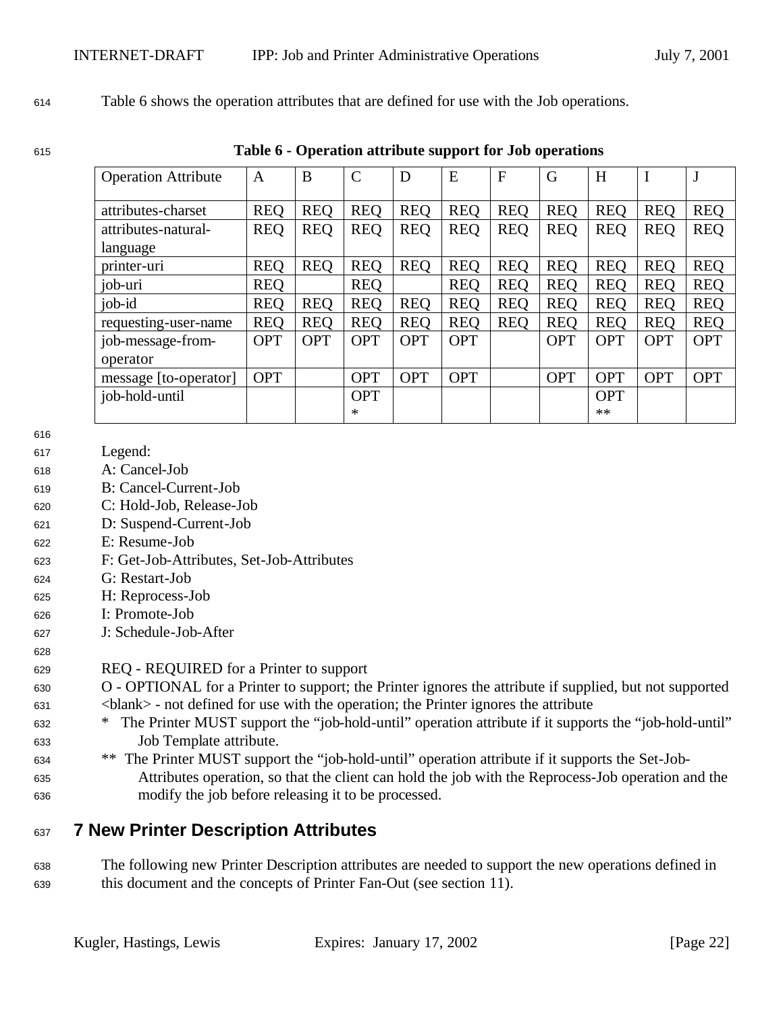#### <sup>614</sup> Table 6 shows the operation attributes that are defined for use with the Job operations.

<sup>615</sup> **Table 6 - Operation attribute support for Job operations**

| <b>Operation Attribute</b> | A          | B          | $\mathcal{C}$ | D          | E          | $\mathbf{F}$ | G          | H          |            | J          |
|----------------------------|------------|------------|---------------|------------|------------|--------------|------------|------------|------------|------------|
|                            |            |            |               |            |            |              |            |            |            |            |
| attributes-charset         | <b>REQ</b> | <b>REQ</b> | <b>REQ</b>    | <b>REQ</b> | <b>REQ</b> | <b>REQ</b>   | <b>REQ</b> | <b>REO</b> | <b>REQ</b> | <b>REQ</b> |
| attributes-natural-        | <b>REQ</b> | <b>REQ</b> | <b>REQ</b>    | <b>REQ</b> | <b>REQ</b> | <b>REQ</b>   | <b>REQ</b> | <b>REQ</b> | <b>REO</b> | <b>REQ</b> |
| language                   |            |            |               |            |            |              |            |            |            |            |
| printer-uri                | <b>REQ</b> | <b>REQ</b> | <b>REQ</b>    | <b>REO</b> | <b>REQ</b> | <b>REQ</b>   | <b>REQ</b> | <b>REO</b> | <b>REO</b> | <b>REQ</b> |
| job-uri                    | <b>REQ</b> |            | <b>REQ</b>    |            | <b>REO</b> | <b>REO</b>   | <b>REQ</b> | <b>REO</b> | <b>REQ</b> | <b>REQ</b> |
| job-id                     | <b>REQ</b> | <b>REQ</b> | <b>REQ</b>    | <b>REO</b> | <b>REO</b> | <b>REQ</b>   | <b>REQ</b> | <b>REO</b> | <b>REQ</b> | <b>REQ</b> |
| requesting-user-name       | <b>REQ</b> | <b>REQ</b> | <b>REQ</b>    | <b>REQ</b> | <b>REQ</b> | <b>REQ</b>   | <b>REQ</b> | <b>REQ</b> | <b>REO</b> | <b>REQ</b> |
| job-message-from-          | <b>OPT</b> | <b>OPT</b> | <b>OPT</b>    | <b>OPT</b> | <b>OPT</b> |              | <b>OPT</b> | <b>OPT</b> | <b>OPT</b> | <b>OPT</b> |
| operator                   |            |            |               |            |            |              |            |            |            |            |
| message [to-operator]      | <b>OPT</b> |            | <b>OPT</b>    | <b>OPT</b> | <b>OPT</b> |              | <b>OPT</b> | <b>OPT</b> | <b>OPT</b> | <b>OPT</b> |
| job-hold-until             |            |            | <b>OPT</b>    |            |            |              |            | <b>OPT</b> |            |            |
|                            |            |            | ∗             |            |            |              |            | **         |            |            |

616

628

- <sup>617</sup> Legend:
- <sup>618</sup> A: Cancel-Job
- <sup>619</sup> B: Cancel-Current-Job
- <sup>620</sup> C: Hold-Job, Release-Job
- <sup>621</sup> D: Suspend-Current-Job
- <sup>622</sup> E: Resume-Job
- <sup>623</sup> F: Get-Job-Attributes, Set-Job-Attributes
- <sup>624</sup> G: Restart-Job
- <sup>625</sup> H: Reprocess-Job
- <sup>626</sup> I: Promote-Job
- <sup>627</sup> J: Schedule-Job-After

#### <sup>629</sup> REQ - REQUIRED for a Printer to support

- <sup>630</sup> O OPTIONAL for a Printer to support; the Printer ignores the attribute if supplied, but not supported <sup>631</sup> <blank> - not defined for use with the operation; the Printer ignores the attribute
- <sup>632</sup> \* The Printer MUST support the "job-hold-until" operation attribute if it supports the "job-hold-until" <sup>633</sup> Job Template attribute.
- <sup>634</sup> \*\* The Printer MUST support the "job-hold-until" operation attribute if it supports the Set-Job-<sup>635</sup> Attributes operation, so that the client can hold the job with the Reprocess-Job operation and the <sup>636</sup> modify the job before releasing it to be processed.

## <sup>637</sup> **7 New Printer Description Attributes**

<sup>638</sup> The following new Printer Description attributes are needed to support the new operations defined in <sup>639</sup> this document and the concepts of Printer Fan-Out (see section 11).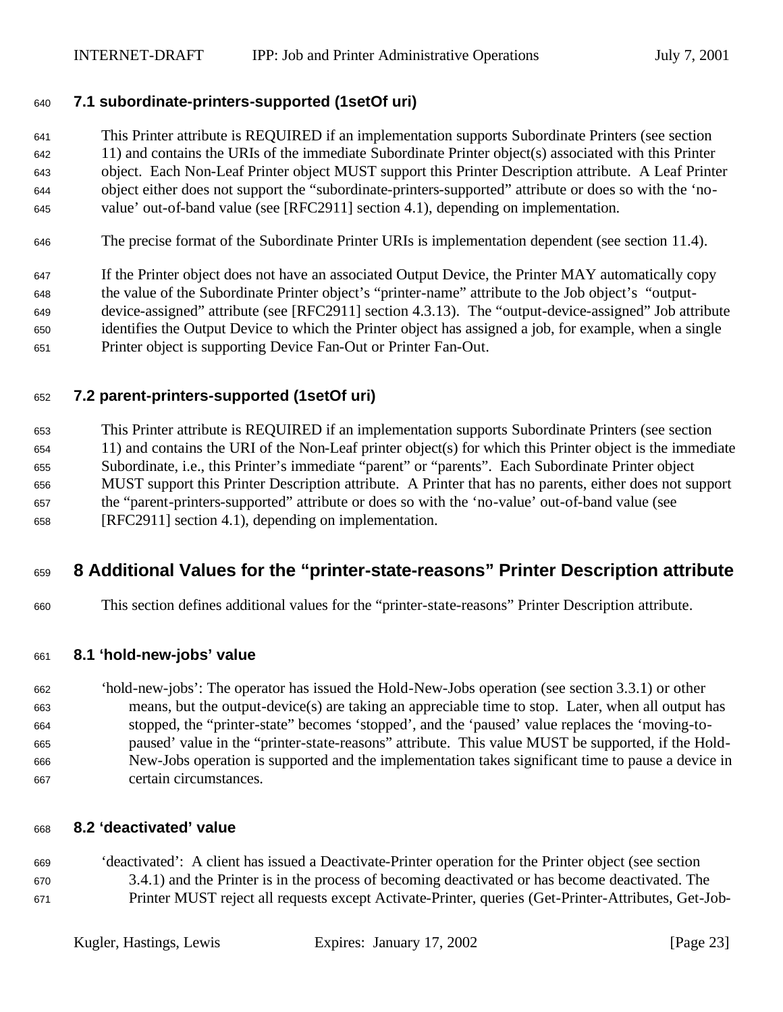### **7.1 subordinate-printers-supported (1setOf uri)**

 This Printer attribute is REQUIRED if an implementation supports Subordinate Printers (see section 11) and contains the URIs of the immediate Subordinate Printer object(s) associated with this Printer object. Each Non-Leaf Printer object MUST support this Printer Description attribute. A Leaf Printer object either does not support the "subordinate-printers-supported" attribute or does so with the 'no-value' out-of-band value (see [RFC2911] section 4.1), depending on implementation.

The precise format of the Subordinate Printer URIs is implementation dependent (see section 11.4).

 If the Printer object does not have an associated Output Device, the Printer MAY automatically copy the value of the Subordinate Printer object's "printer-name" attribute to the Job object's "output- device-assigned" attribute (see [RFC2911] section 4.3.13). The "output-device-assigned" Job attribute identifies the Output Device to which the Printer object has assigned a job, for example, when a single Printer object is supporting Device Fan-Out or Printer Fan-Out.

### **7.2 parent-printers-supported (1setOf uri)**

 This Printer attribute is REQUIRED if an implementation supports Subordinate Printers (see section 11) and contains the URI of the Non-Leaf printer object(s) for which this Printer object is the immediate Subordinate, i.e., this Printer's immediate "parent" or "parents". Each Subordinate Printer object MUST support this Printer Description attribute. A Printer that has no parents, either does not support the "parent-printers-supported" attribute or does so with the 'no-value' out-of-band value (see [RFC2911] section 4.1), depending on implementation.

## **8 Additional Values for the "printer-state-reasons" Printer Description attribute**

This section defines additional values for the "printer-state-reasons" Printer Description attribute.

#### **8.1 'hold-new-jobs' value**

 'hold-new-jobs': The operator has issued the Hold-New-Jobs operation (see section 3.3.1) or other means, but the output-device(s) are taking an appreciable time to stop. Later, when all output has stopped, the "printer-state" becomes 'stopped', and the 'paused' value replaces the 'moving-to- paused' value in the "printer-state-reasons" attribute. This value MUST be supported, if the Hold- New-Jobs operation is supported and the implementation takes significant time to pause a device in certain circumstances.

#### **8.2 'deactivated' value**

 'deactivated': A client has issued a Deactivate-Printer operation for the Printer object (see section 3.4.1) and the Printer is in the process of becoming deactivated or has become deactivated. The Printer MUST reject all requests except Activate-Printer, queries (Get-Printer-Attributes, Get-Job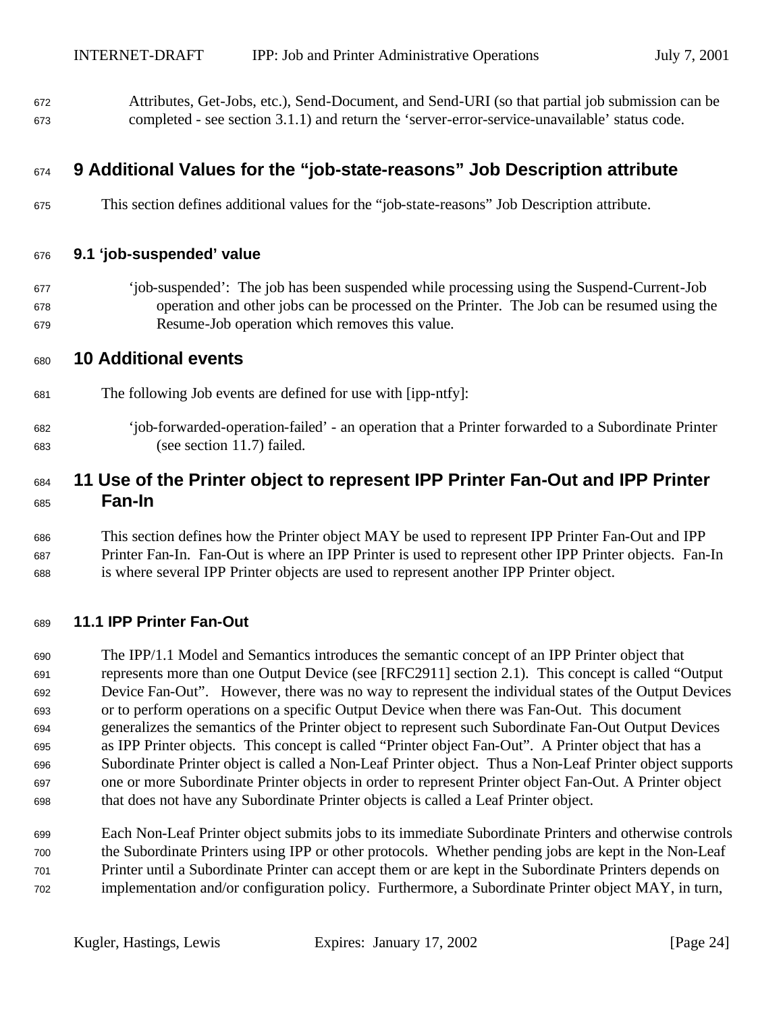Attributes, Get-Jobs, etc.), Send-Document, and Send-URI (so that partial job submission can be completed - see section 3.1.1) and return the 'server-error-service-unavailable' status code.

## **9 Additional Values for the "job-state-reasons" Job Description attribute**

This section defines additional values for the "job-state-reasons" Job Description attribute.

#### **9.1 'job-suspended' value**

 'job-suspended': The job has been suspended while processing using the Suspend-Current-Job operation and other jobs can be processed on the Printer. The Job can be resumed using the Resume-Job operation which removes this value.

#### **10 Additional events**

- The following Job events are defined for use with [ipp-ntfy]:
- 'job-forwarded-operation-failed' an operation that a Printer forwarded to a Subordinate Printer (see section 11.7) failed.

## **11 Use of the Printer object to represent IPP Printer Fan-Out and IPP Printer Fan-In**

 This section defines how the Printer object MAY be used to represent IPP Printer Fan-Out and IPP Printer Fan-In. Fan-Out is where an IPP Printer is used to represent other IPP Printer objects. Fan-In is where several IPP Printer objects are used to represent another IPP Printer object.

#### **11.1 IPP Printer Fan-Out**

 The IPP/1.1 Model and Semantics introduces the semantic concept of an IPP Printer object that represents more than one Output Device (see [RFC2911] section 2.1). This concept is called "Output Device Fan-Out". However, there was no way to represent the individual states of the Output Devices or to perform operations on a specific Output Device when there was Fan-Out. This document generalizes the semantics of the Printer object to represent such Subordinate Fan-Out Output Devices as IPP Printer objects. This concept is called "Printer object Fan-Out". A Printer object that has a Subordinate Printer object is called a Non-Leaf Printer object. Thus a Non-Leaf Printer object supports one or more Subordinate Printer objects in order to represent Printer object Fan-Out. A Printer object that does not have any Subordinate Printer objects is called a Leaf Printer object.

 Each Non-Leaf Printer object submits jobs to its immediate Subordinate Printers and otherwise controls the Subordinate Printers using IPP or other protocols. Whether pending jobs are kept in the Non-Leaf Printer until a Subordinate Printer can accept them or are kept in the Subordinate Printers depends on implementation and/or configuration policy. Furthermore, a Subordinate Printer object MAY, in turn,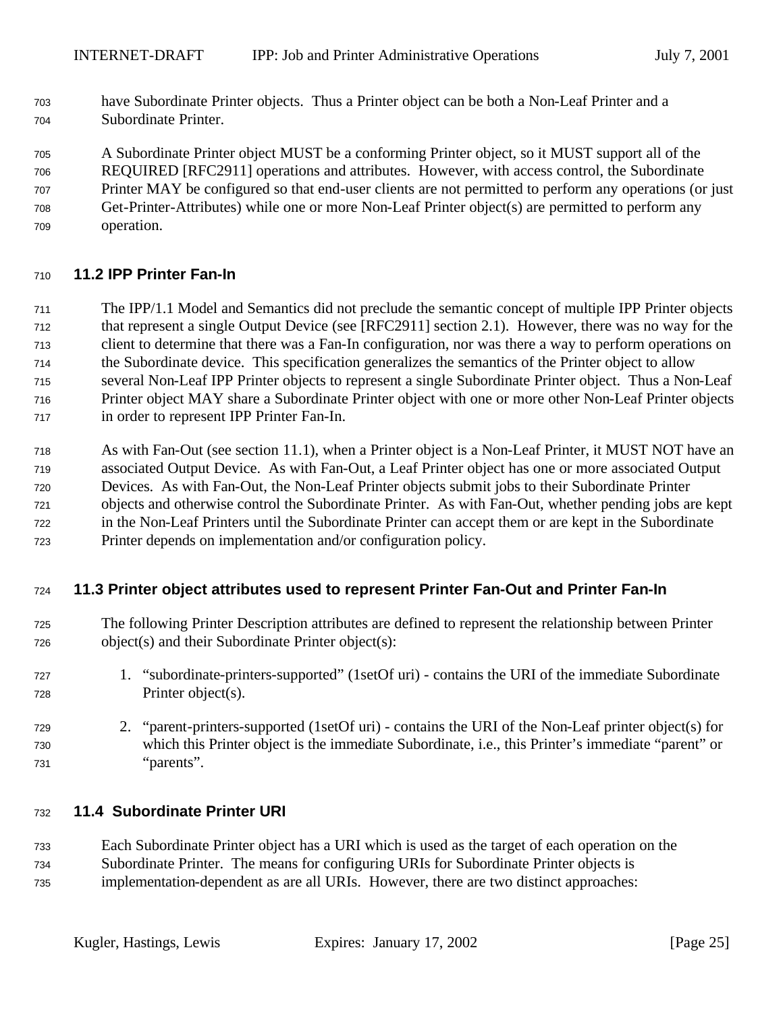have Subordinate Printer objects. Thus a Printer object can be both a Non-Leaf Printer and a Subordinate Printer.

A Subordinate Printer object MUST be a conforming Printer object, so it MUST support all of the

 REQUIRED [RFC2911] operations and attributes. However, with access control, the Subordinate Printer MAY be configured so that end-user clients are not permitted to perform any operations (or just Get-Printer-Attributes) while one or more Non-Leaf Printer object(s) are permitted to perform any operation.

### **11.2 IPP Printer Fan-In**

 The IPP/1.1 Model and Semantics did not preclude the semantic concept of multiple IPP Printer objects that represent a single Output Device (see [RFC2911] section 2.1). However, there was no way for the client to determine that there was a Fan-In configuration, nor was there a way to perform operations on the Subordinate device. This specification generalizes the semantics of the Printer object to allow several Non-Leaf IPP Printer objects to represent a single Subordinate Printer object. Thus a Non-Leaf Printer object MAY share a Subordinate Printer object with one or more other Non-Leaf Printer objects in order to represent IPP Printer Fan-In.

 As with Fan-Out (see section 11.1), when a Printer object is a Non-Leaf Printer, it MUST NOT have an associated Output Device. As with Fan-Out, a Leaf Printer object has one or more associated Output Devices. As with Fan-Out, the Non-Leaf Printer objects submit jobs to their Subordinate Printer objects and otherwise control the Subordinate Printer. As with Fan-Out, whether pending jobs are kept in the Non-Leaf Printers until the Subordinate Printer can accept them or are kept in the Subordinate Printer depends on implementation and/or configuration policy.

### **11.3 Printer object attributes used to represent Printer Fan-Out and Printer Fan-In**

- The following Printer Description attributes are defined to represent the relationship between Printer object(s) and their Subordinate Printer object(s):
- 1. "subordinate-printers-supported" (1setOf uri) contains the URI of the immediate Subordinate Printer object(s).
- 2. "parent-printers-supported (1setOf uri) contains the URI of the Non-Leaf printer object(s) for which this Printer object is the immediate Subordinate, i.e., this Printer's immediate "parent" or "parents".

### **11.4 Subordinate Printer URI**

Each Subordinate Printer object has a URI which is used as the target of each operation on the

- Subordinate Printer. The means for configuring URIs for Subordinate Printer objects is
- implementation-dependent as are all URIs. However, there are two distinct approaches: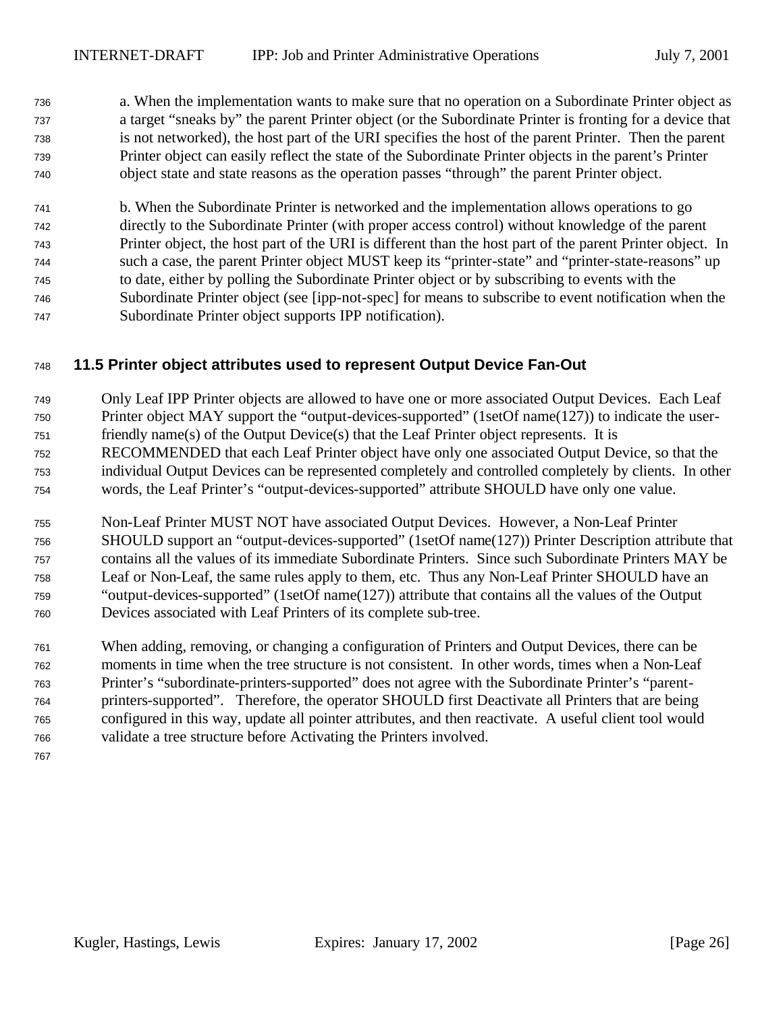a. When the implementation wants to make sure that no operation on a Subordinate Printer object as a target "sneaks by" the parent Printer object (or the Subordinate Printer is fronting for a device that is not networked), the host part of the URI specifies the host of the parent Printer. Then the parent Printer object can easily reflect the state of the Subordinate Printer objects in the parent's Printer object state and state reasons as the operation passes "through" the parent Printer object.

 b. When the Subordinate Printer is networked and the implementation allows operations to go directly to the Subordinate Printer (with proper access control) without knowledge of the parent Printer object, the host part of the URI is different than the host part of the parent Printer object. In such a case, the parent Printer object MUST keep its "printer-state" and "printer-state-reasons" up to date, either by polling the Subordinate Printer object or by subscribing to events with the Subordinate Printer object (see [ipp-not-spec] for means to subscribe to event notification when the Subordinate Printer object supports IPP notification).

## **11.5 Printer object attributes used to represent Output Device Fan-Out**

- Only Leaf IPP Printer objects are allowed to have one or more associated Output Devices. Each Leaf
- Printer object MAY support the "output-devices-supported" (1setOf name(127)) to indicate the user-
- friendly name(s) of the Output Device(s) that the Leaf Printer object represents. It is
- RECOMMENDED that each Leaf Printer object have only one associated Output Device, so that the
- individual Output Devices can be represented completely and controlled completely by clients. In other words, the Leaf Printer's "output-devices-supported" attribute SHOULD have only one value.
- Non-Leaf Printer MUST NOT have associated Output Devices. However, a Non-Leaf Printer SHOULD support an "output-devices-supported" (1setOf name(127)) Printer Description attribute that contains all the values of its immediate Subordinate Printers. Since such Subordinate Printers MAY be Leaf or Non-Leaf, the same rules apply to them, etc. Thus any Non-Leaf Printer SHOULD have an "output-devices-supported" (1setOf name(127)) attribute that contains all the values of the Output Devices associated with Leaf Printers of its complete sub-tree.
- When adding, removing, or changing a configuration of Printers and Output Devices, there can be moments in time when the tree structure is not consistent. In other words, times when a Non-Leaf Printer's "subordinate-printers-supported" does not agree with the Subordinate Printer's "parent- printers-supported". Therefore, the operator SHOULD first Deactivate all Printers that are being configured in this way, update all pointer attributes, and then reactivate. A useful client tool would validate a tree structure before Activating the Printers involved.
-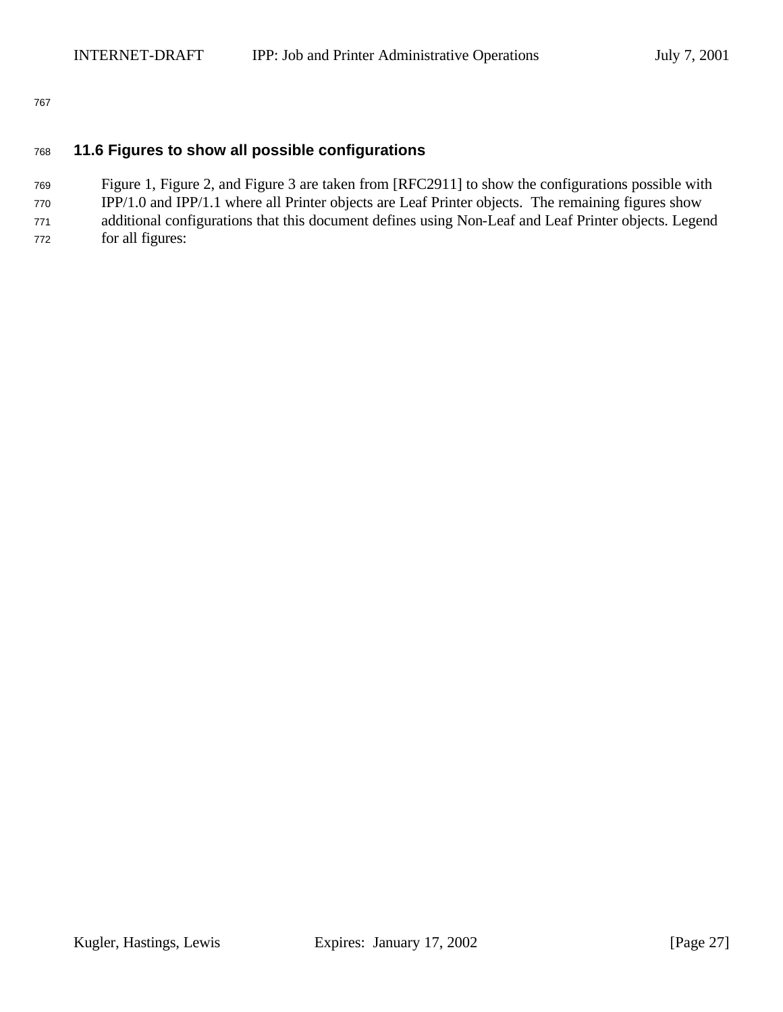#### **11.6 Figures to show all possible configurations**

Figure 1, Figure 2, and Figure 3 are taken from [RFC2911] to show the configurations possible with

 IPP/1.0 and IPP/1.1 where all Printer objects are Leaf Printer objects. The remaining figures show additional configurations that this document defines using Non-Leaf and Leaf Printer objects. Legend

for all figures: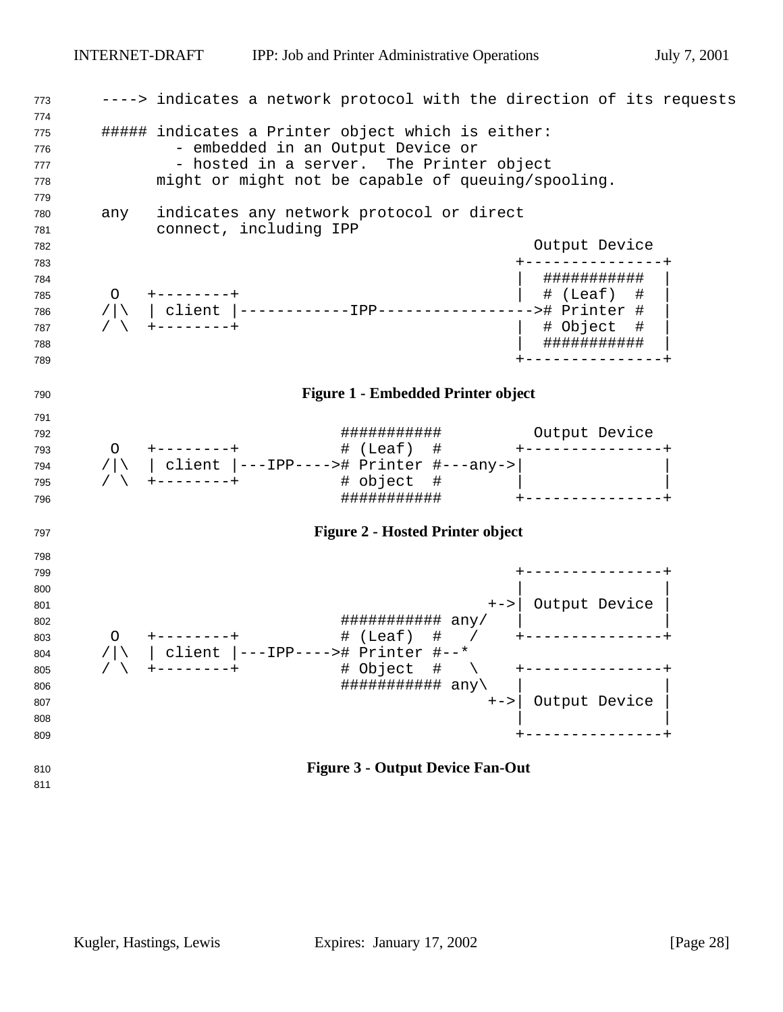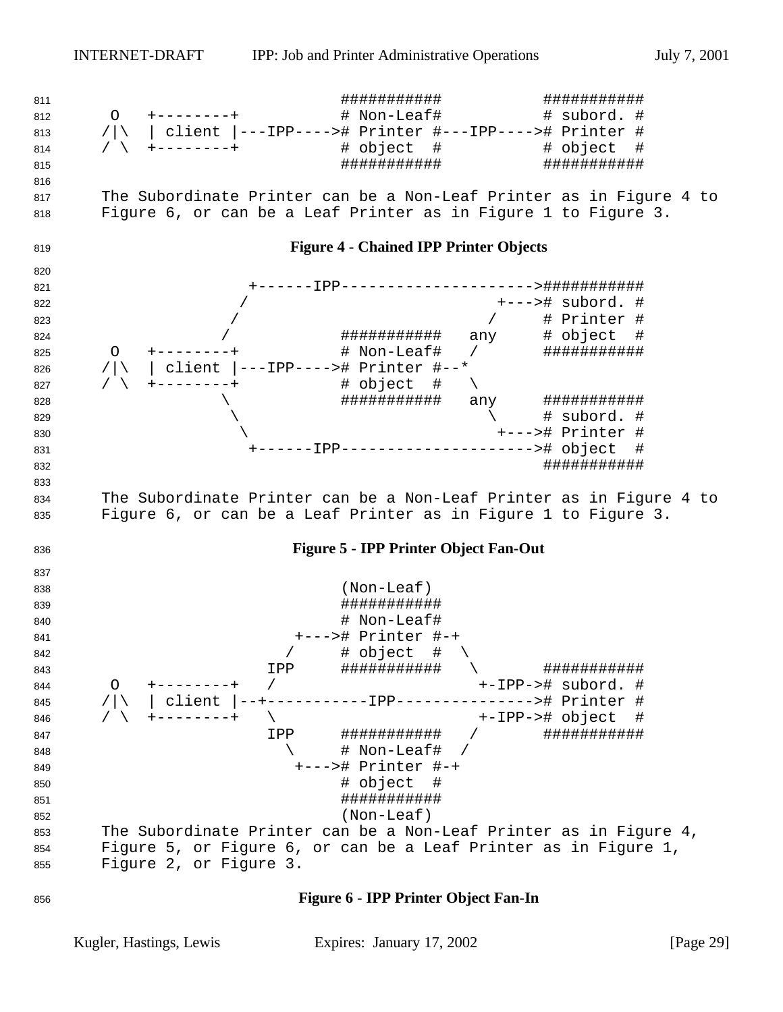########### ########### O +--------+ # Non-Leaf# # subord. # /|\ | client |---IPP----># Printer #---IPP----># Printer # / \ +--------+ # object # # object # ########### ########### The Subordinate Printer can be a Non-Leaf Printer as in Figure 4 to Figure 6, or can be a Leaf Printer as in Figure 1 to Figure 3. **Figure 4 - Chained IPP Printer Objects** +------IPP--------------------->########### / +---># subord. # / / # Printer # / ########### any # object # O +--------+ # Non-Leaf# / ########### /|\ | client |---IPP----># Printer #--\* 827 / \ +--------+ \ ########### any ###########  $829 \hspace{2.5cm} 129$   $\hspace{2.5cm} 129$   $\hspace{2.5cm} 129$   $\hspace{2.5cm} 129$   $\hspace{2.5cm} 129$  \ +---># Printer # +------IPP---------------------># object # ########### The Subordinate Printer can be a Non-Leaf Printer as in Figure 4 to Figure 6, or can be a Leaf Printer as in Figure 1 to Figure 3. **Figure 5 - IPP Printer Object Fan-Out** (Non-Leaf) ########### 840 # Non-Leaf # Non-Leaf #  $\mu$  +---># Printer #-+  $\begin{array}{ccccc} 842 & & & & \end{array}$ <br> $\begin{array}{ccccc} 842 & & & \end{array}$   $\begin{array}{ccccc} 4 & & \text{object} & \text{#} & \backslash \\ 843 & & & \end{array}$  IPP ########### \ ########### O +--------+ / +-IPP-># subord. # 845 /|\ | client |--+-----------IPP---------------># Printer #<br>846 / \ +-------+ \ +-IPP-># object # / \ +--------+ \ +-IPP-># object # IPP ########### / ###########  $\qquad \qquad \qquad \backslash$  # Non-Leaf# / +---># Printer #-+ **#** object # ########### (Non-Leaf) The Subordinate Printer can be a Non-Leaf Printer as in Figure 4, Figure 5, or Figure 6, or can be a Leaf Printer as in Figure 1, Figure 2, or Figure 3.

#### **Figure 6 - IPP Printer Object Fan-In**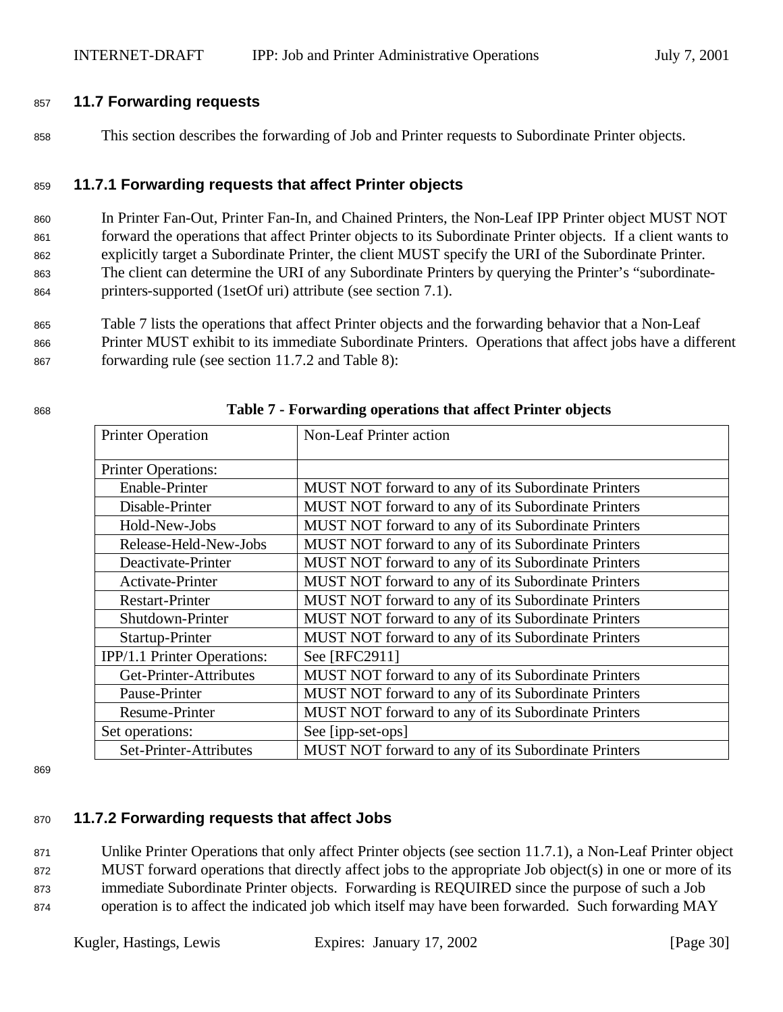#### <sup>857</sup> **11.7 Forwarding requests**

<sup>858</sup> This section describes the forwarding of Job and Printer requests to Subordinate Printer objects.

#### <sup>859</sup> **11.7.1 Forwarding requests that affect Printer objects**

 In Printer Fan-Out, Printer Fan-In, and Chained Printers, the Non-Leaf IPP Printer object MUST NOT forward the operations that affect Printer objects to its Subordinate Printer objects. If a client wants to explicitly target a Subordinate Printer, the client MUST specify the URI of the Subordinate Printer. The client can determine the URI of any Subordinate Printers by querying the Printer's "subordinate-printers-supported (1setOf uri) attribute (see section 7.1).

<sup>865</sup> Table 7 lists the operations that affect Printer objects and the forwarding behavior that a Non-Leaf <sup>866</sup> Printer MUST exhibit to its immediate Subordinate Printers. Operations that affect jobs have a different <sup>867</sup> forwarding rule (see section 11.7.2 and Table 8):

| <b>Printer Operation</b>    | Non-Leaf Printer action                             |
|-----------------------------|-----------------------------------------------------|
| <b>Printer Operations:</b>  |                                                     |
| Enable-Printer              | MUST NOT forward to any of its Subordinate Printers |
| Disable-Printer             | MUST NOT forward to any of its Subordinate Printers |
| Hold-New-Jobs               | MUST NOT forward to any of its Subordinate Printers |
| Release-Held-New-Jobs       | MUST NOT forward to any of its Subordinate Printers |
| Deactivate-Printer          | MUST NOT forward to any of its Subordinate Printers |
| Activate-Printer            | MUST NOT forward to any of its Subordinate Printers |
| <b>Restart-Printer</b>      | MUST NOT forward to any of its Subordinate Printers |
| Shutdown-Printer            | MUST NOT forward to any of its Subordinate Printers |
| Startup-Printer             | MUST NOT forward to any of its Subordinate Printers |
| IPP/1.1 Printer Operations: | See [RFC2911]                                       |
| Get-Printer-Attributes      | MUST NOT forward to any of its Subordinate Printers |
| Pause-Printer               | MUST NOT forward to any of its Subordinate Printers |
| <b>Resume-Printer</b>       | MUST NOT forward to any of its Subordinate Printers |
| Set operations:             | See [ipp-set-ops]                                   |
| Set-Printer-Attributes      | MUST NOT forward to any of its Subordinate Printers |

#### <sup>868</sup> **Table 7 - Forwarding operations that affect Printer objects**

869

### <sup>870</sup> **11.7.2 Forwarding requests that affect Jobs**

 Unlike Printer Operations that only affect Printer objects (see section 11.7.1), a Non-Leaf Printer object MUST forward operations that directly affect jobs to the appropriate Job object(s) in one or more of its immediate Subordinate Printer objects. Forwarding is REQUIRED since the purpose of such a Job operation is to affect the indicated job which itself may have been forwarded. Such forwarding MAY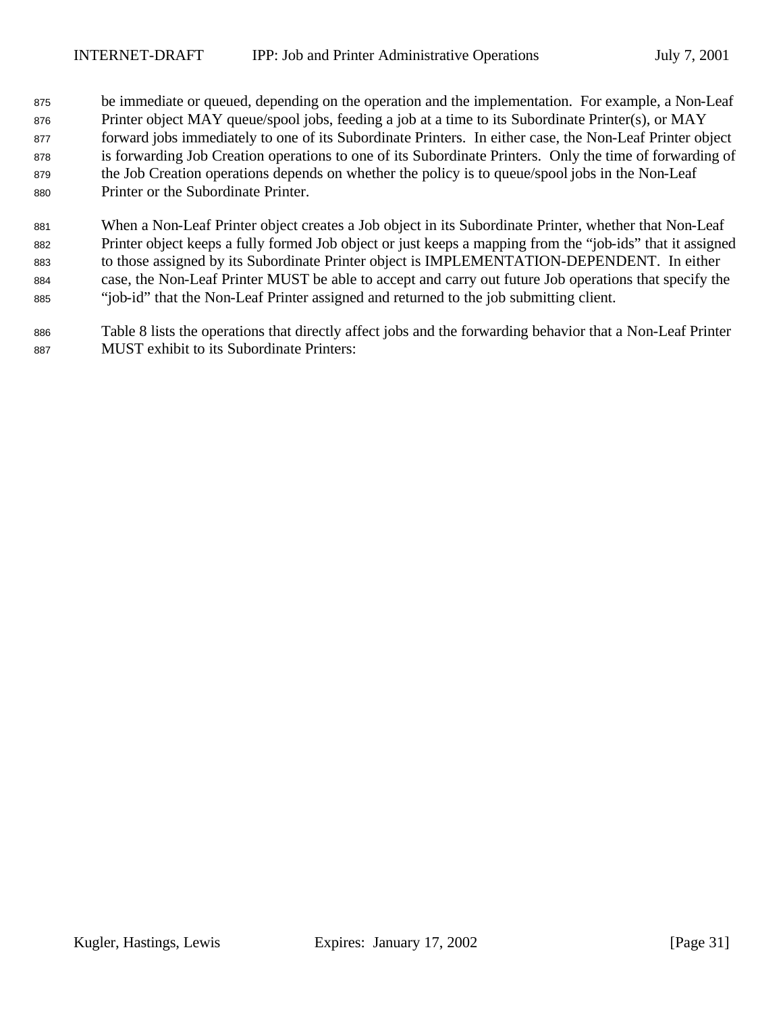be immediate or queued, depending on the operation and the implementation. For example, a Non-Leaf Printer object MAY queue/spool jobs, feeding a job at a time to its Subordinate Printer(s), or MAY forward jobs immediately to one of its Subordinate Printers. In either case, the Non-Leaf Printer object is forwarding Job Creation operations to one of its Subordinate Printers. Only the time of forwarding of 879 the Job Creation operations depends on whether the policy is to queue/spool jobs in the Non-Leaf Printer or the Subordinate Printer.

 When a Non-Leaf Printer object creates a Job object in its Subordinate Printer, whether that Non-Leaf Printer object keeps a fully formed Job object or just keeps a mapping from the "job-ids" that it assigned to those assigned by its Subordinate Printer object is IMPLEMENTATION-DEPENDENT. In either case, the Non-Leaf Printer MUST be able to accept and carry out future Job operations that specify the "job-id" that the Non-Leaf Printer assigned and returned to the job submitting client.

 Table 8 lists the operations that directly affect jobs and the forwarding behavior that a Non-Leaf Printer MUST exhibit to its Subordinate Printers: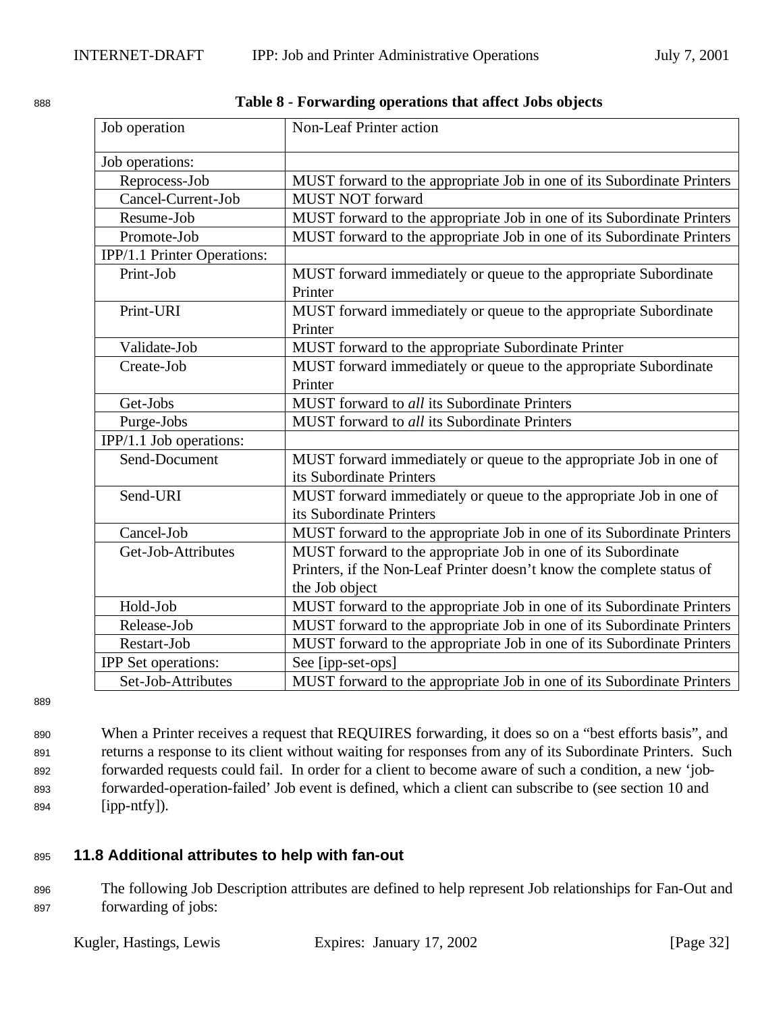| Job operation               | <b>Non-Leaf Printer action</b>                                         |
|-----------------------------|------------------------------------------------------------------------|
| Job operations:             |                                                                        |
| Reprocess-Job               | MUST forward to the appropriate Job in one of its Subordinate Printers |
| Cancel-Current-Job          | <b>MUST NOT forward</b>                                                |
| Resume-Job                  | MUST forward to the appropriate Job in one of its Subordinate Printers |
| Promote-Job                 | MUST forward to the appropriate Job in one of its Subordinate Printers |
| IPP/1.1 Printer Operations: |                                                                        |
| Print-Job                   | MUST forward immediately or queue to the appropriate Subordinate       |
|                             | Printer                                                                |
| Print-URI                   | MUST forward immediately or queue to the appropriate Subordinate       |
|                             | Printer                                                                |
| Validate-Job                | MUST forward to the appropriate Subordinate Printer                    |
| Create-Job                  | MUST forward immediately or queue to the appropriate Subordinate       |
|                             | Printer                                                                |
| Get-Jobs                    | MUST forward to all its Subordinate Printers                           |
| Purge-Jobs                  | MUST forward to all its Subordinate Printers                           |
| IPP/1.1 Job operations:     |                                                                        |
| Send-Document               | MUST forward immediately or queue to the appropriate Job in one of     |
|                             | its Subordinate Printers                                               |
| Send-URI                    | MUST forward immediately or queue to the appropriate Job in one of     |
|                             | its Subordinate Printers                                               |
| Cancel-Job                  | MUST forward to the appropriate Job in one of its Subordinate Printers |
| Get-Job-Attributes          | MUST forward to the appropriate Job in one of its Subordinate          |
|                             | Printers, if the Non-Leaf Printer doesn't know the complete status of  |
|                             | the Job object                                                         |
| Hold-Job                    | MUST forward to the appropriate Job in one of its Subordinate Printers |
| Release-Job                 | MUST forward to the appropriate Job in one of its Subordinate Printers |
| Restart-Job                 | MUST forward to the appropriate Job in one of its Subordinate Printers |
| <b>IPP</b> Set operations:  | See [ipp-set-ops]                                                      |
| Set-Job-Attributes          | MUST forward to the appropriate Job in one of its Subordinate Printers |

<sup>888</sup> **Table 8 - Forwarding operations that affect Jobs objects**

889

 When a Printer receives a request that REQUIRES forwarding, it does so on a "best efforts basis", and returns a response to its client without waiting for responses from any of its Subordinate Printers. Such forwarded requests could fail. In order for a client to become aware of such a condition, a new 'job- forwarded-operation-failed' Job event is defined, which a client can subscribe to (see section 10 and [ipp-ntfy]).

### <sup>895</sup> **11.8 Additional attributes to help with fan-out**

<sup>896</sup> The following Job Description attributes are defined to help represent Job relationships for Fan-Out and <sup>897</sup> forwarding of jobs: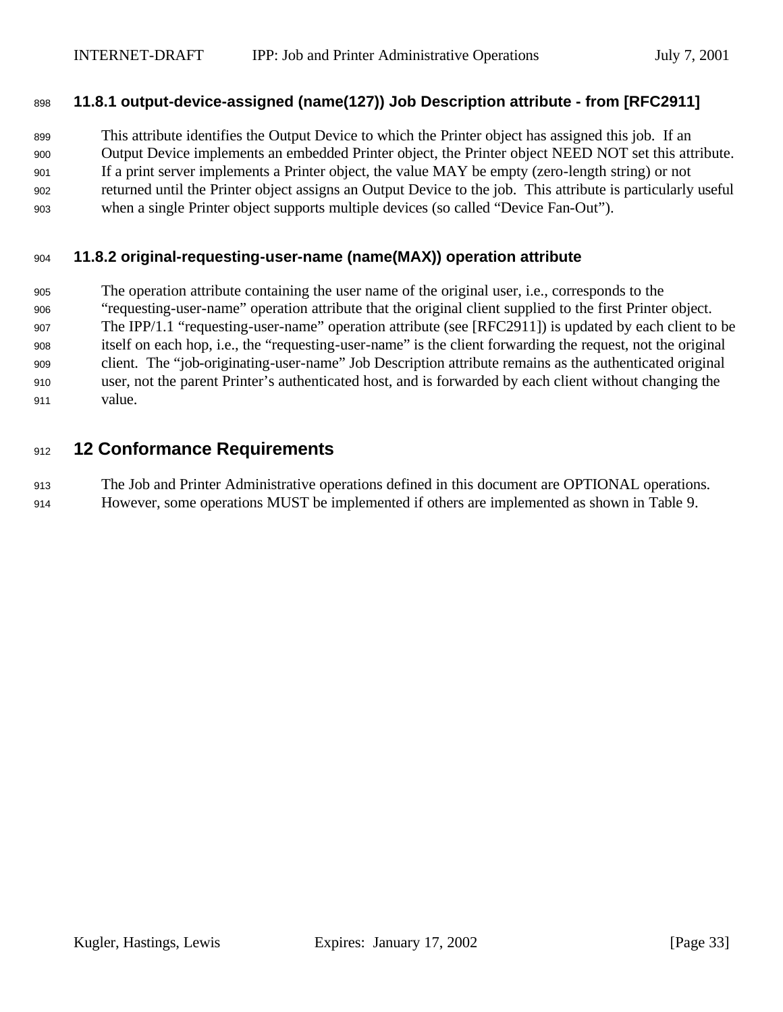#### **11.8.1 output-device-assigned (name(127)) Job Description attribute - from [RFC2911]**

 This attribute identifies the Output Device to which the Printer object has assigned this job. If an Output Device implements an embedded Printer object, the Printer object NEED NOT set this attribute. If a print server implements a Printer object, the value MAY be empty (zero-length string) or not returned until the Printer object assigns an Output Device to the job. This attribute is particularly useful when a single Printer object supports multiple devices (so called "Device Fan-Out").

#### **11.8.2 original-requesting-user-name (name(MAX)) operation attribute**

 The operation attribute containing the user name of the original user, i.e., corresponds to the "requesting-user-name" operation attribute that the original client supplied to the first Printer object. The IPP/1.1 "requesting-user-name" operation attribute (see [RFC2911]) is updated by each client to be itself on each hop, i.e., the "requesting-user-name" is the client forwarding the request, not the original client. The "job-originating-user-name" Job Description attribute remains as the authenticated original user, not the parent Printer's authenticated host, and is forwarded by each client without changing the value.

## **12 Conformance Requirements**

 The Job and Printer Administrative operations defined in this document are OPTIONAL operations. However, some operations MUST be implemented if others are implemented as shown in Table 9.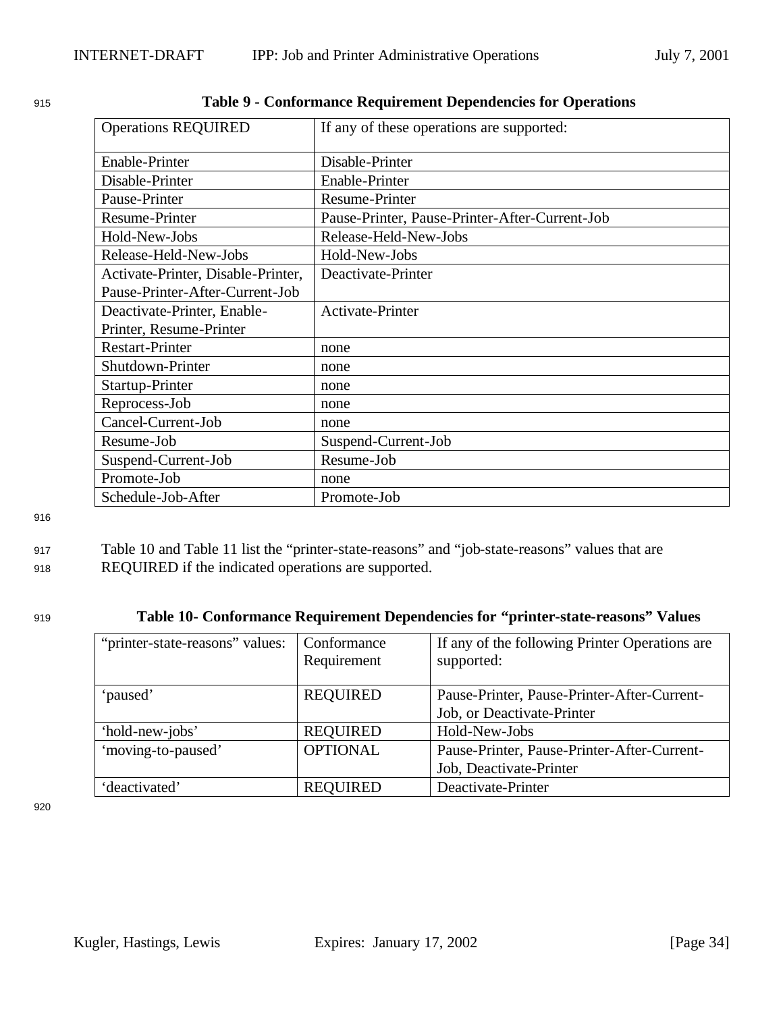| <b>Operations REQUIRED</b>         | If any of these operations are supported:      |
|------------------------------------|------------------------------------------------|
| <b>Enable-Printer</b>              | Disable-Printer                                |
| Disable-Printer                    | Enable-Printer                                 |
| Pause-Printer                      | <b>Resume-Printer</b>                          |
| <b>Resume-Printer</b>              | Pause-Printer, Pause-Printer-After-Current-Job |
| Hold-New-Jobs                      | Release-Held-New-Jobs                          |
| Release-Held-New-Jobs              | Hold-New-Jobs                                  |
| Activate-Printer, Disable-Printer, | Deactivate-Printer                             |
| Pause-Printer-After-Current-Job    |                                                |
| Deactivate-Printer, Enable-        | <b>Activate-Printer</b>                        |
| Printer, Resume-Printer            |                                                |
| <b>Restart-Printer</b>             | none                                           |
| Shutdown-Printer                   | none                                           |
| Startup-Printer                    | none                                           |
| Reprocess-Job                      | none                                           |
| Cancel-Current-Job                 | none                                           |
| Resume-Job                         | Suspend-Current-Job                            |
| Suspend-Current-Job                | Resume-Job                                     |
| Promote-Job                        | none                                           |
| Schedule-Job-After                 | Promote-Job                                    |

| 915 | Table 9 - Conformance Requirement Dependencies for Operations |  |  |
|-----|---------------------------------------------------------------|--|--|
|     |                                                               |  |  |

#### <sup>917</sup> Table 10 and Table 11 list the "printer-state-reasons" and "job-state-reasons" values that are <sup>918</sup> REQUIRED if the indicated operations are supported.

#### <sup>919</sup> **Table 10- Conformance Requirement Dependencies for "printer-state-reasons" Values**

| "printer-state-reasons" values: | Conformance<br>Requirement | If any of the following Printer Operations are<br>supported:              |
|---------------------------------|----------------------------|---------------------------------------------------------------------------|
| 'paused'                        | <b>REQUIRED</b>            | Pause-Printer, Pause-Printer-After-Current-<br>Job, or Deactivate-Printer |
| 'hold-new-jobs'                 | <b>REQUIRED</b>            | Hold-New-Jobs                                                             |
| 'moving-to-paused'              | <b>OPTIONAL</b>            | Pause-Printer, Pause-Printer-After-Current-                               |
|                                 |                            | Job, Deactivate-Printer                                                   |
| 'deactivated'                   | <b>REQUIRED</b>            | Deactivate-Printer                                                        |

920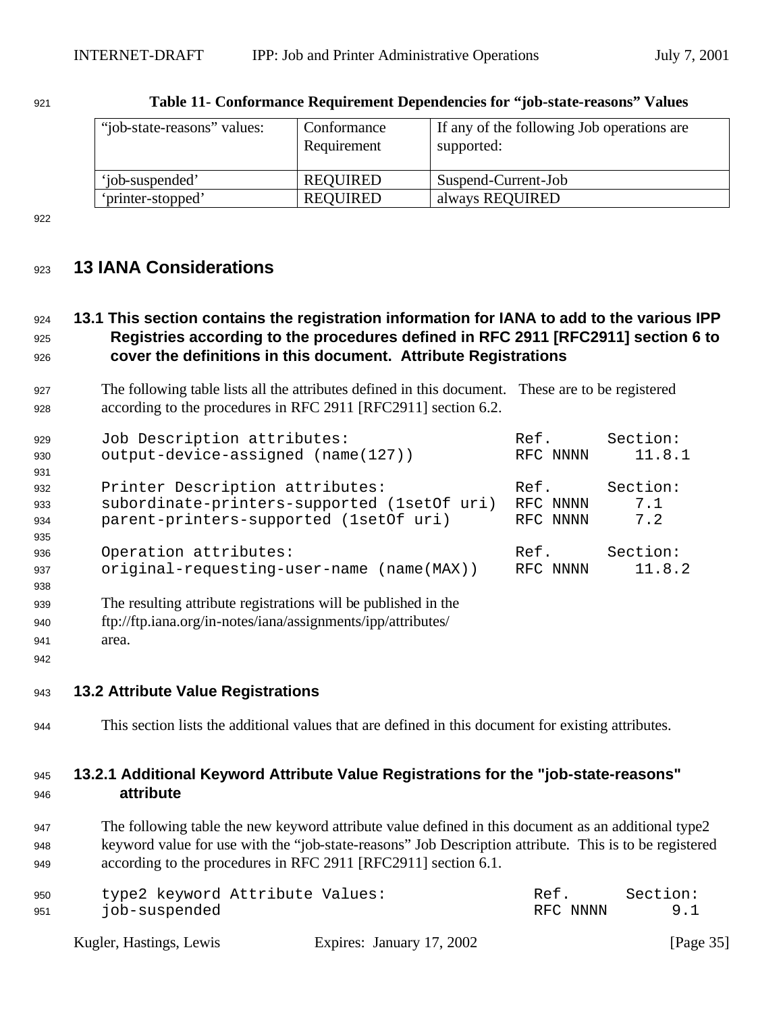| "job-state-reasons" values: | Conformance<br>Requirement | If any of the following Job operations are<br>supported: |
|-----------------------------|----------------------------|----------------------------------------------------------|
| 'iob-suspended'             | <b>REQUIRED</b>            | Suspend-Current-Job                                      |
| 'printer-stopped'           | <b>REQUIRED</b>            | always REQUIRED                                          |

| 921 | Table 11- Conformance Requirement Dependencies for "job-state-reasons" Values |  |  |
|-----|-------------------------------------------------------------------------------|--|--|
|     |                                                                               |  |  |

## **13 IANA Considerations**

## **13.1 This section contains the registration information for IANA to add to the various IPP Registries according to the procedures defined in RFC 2911 [RFC2911] section 6 to cover the definitions in this document. Attribute Registrations**

 The following table lists all the attributes defined in this document. These are to be registered according to the procedures in RFC 2911 [RFC2911] section 6.2.

| 929 | Job Description attributes:                                    | Ref.     | Section: |
|-----|----------------------------------------------------------------|----------|----------|
| 930 | output-device-assigned (name(127))                             | RFC NNNN | 11.8.1   |
| 931 |                                                                |          |          |
| 932 | Printer Description attributes:                                | Ref.     | Section: |
| 933 | subordinate-printers-supported (1setOf uri)                    | RFC NNNN | 7.1      |
| 934 | parent-printers-supported (1setOf uri)                         | RFC NNNN | 7.2      |
| 935 |                                                                |          |          |
| 936 | Operation attributes:                                          | Ref.     | Section: |
| 937 | original-requesting-user-name (name(MAX))                      | RFC NNNN | 11.8.2   |
| 938 |                                                                |          |          |
| 939 | The resulting attribute registrations will be published in the |          |          |
| 940 | ftp://ftp.iana.org/in-notes/iana/assignments/ipp/attributes/   |          |          |

- area.
- 

#### **13.2 Attribute Value Registrations**

This section lists the additional values that are defined in this document for existing attributes.

#### **13.2.1 Additional Keyword Attribute Value Registrations for the "job-state-reasons" attribute**

 The following table the new keyword attribute value defined in this document as an additional type2 keyword value for use with the "job-state-reasons" Job Description attribute. This is to be registered according to the procedures in RFC 2911 [RFC2911] section 6.1.

| 950 | type2 keyword Attribute Values: | Ref.     | Section: |
|-----|---------------------------------|----------|----------|
| 951 | job-suspended                   | RFC NNNN | 9.1      |
|     |                                 |          |          |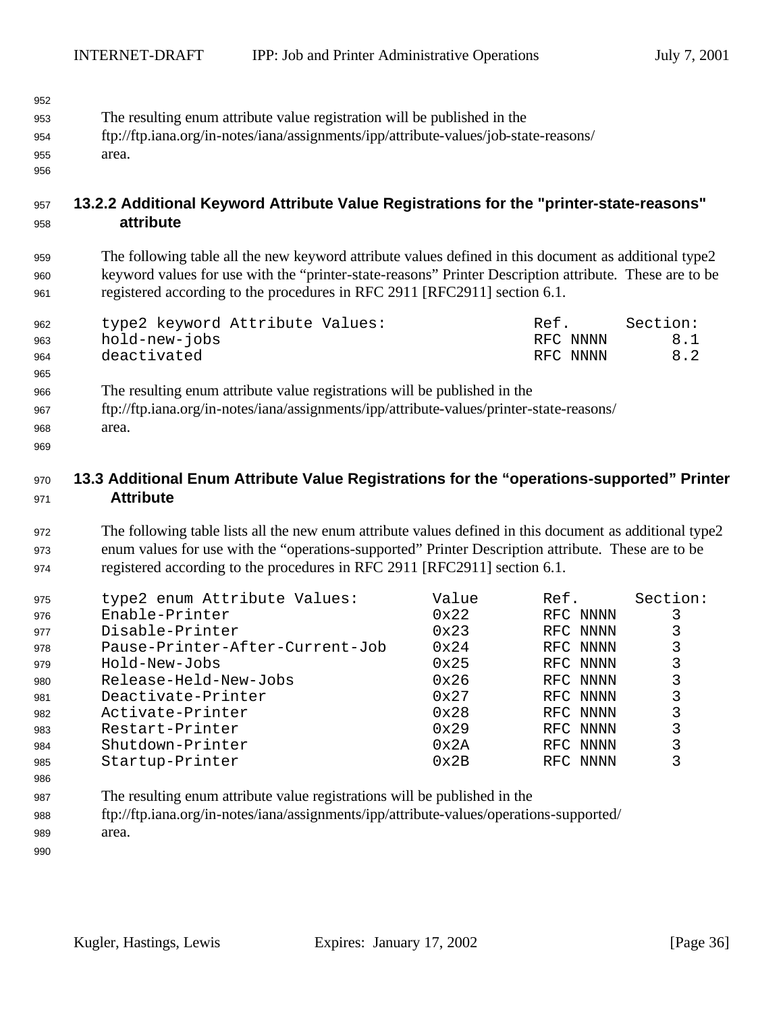| 952 |                                                                                      |
|-----|--------------------------------------------------------------------------------------|
| 953 | The resulting enum attribute value registration will be published in the             |
| 954 | ftp://ftp.iana.org/in-notes/iana/assignments/ipp/attribute-values/job-state-reasons/ |
| 955 | area.                                                                                |

## **13.2.2 Additional Keyword Attribute Value Registrations for the "printer-state-reasons" attribute**

 The following table all the new keyword attribute values defined in this document as additional type2 keyword values for use with the "printer-state-reasons" Printer Description attribute. These are to be registered according to the procedures in RFC 2911 [RFC2911] section 6.1.

| 962 | type2 keyword Attribute Values: | Ref.     | Section: |
|-----|---------------------------------|----------|----------|
| 963 | hold-new-jobs                   | RFC NNNN | 8.1      |
| 964 | deactivated                     | RFC NNNN | 8.2      |

 The resulting enum attribute value registrations will be published in the ftp://ftp.iana.org/in-notes/iana/assignments/ipp/attribute-values/printer-state-reasons/ area.

## **13.3 Additional Enum Attribute Value Registrations for the "operations-supported" Printer Attribute**

 The following table lists all the new enum attribute values defined in this document as additional type2 enum values for use with the "operations-supported" Printer Description attribute. These are to be registered according to the procedures in RFC 2911 [RFC2911] section 6.1.

| 975 | type2 enum Attribute Values:    | Value         | Ref.     | Section: |
|-----|---------------------------------|---------------|----------|----------|
| 976 | Enable-Printer                  | $0 \times 22$ | RFC NNNN |          |
| 977 | Disable-Printer                 | $0 \times 23$ | RFC NNNN |          |
| 978 | Pause-Printer-After-Current-Job | $0 \times 24$ | RFC NNNN |          |
| 979 | Hold-New-Jobs                   | $0 \times 25$ | RFC NNNN |          |
| 980 | Release-Held-New-Jobs           | $0 \times 26$ | RFC NNNN |          |
| 981 | Deactivate-Printer              | $0 \times 27$ | RFC NNNN |          |
| 982 | Activate-Printer                | $0 \times 28$ | RFC NNNN |          |
| 983 | Restart-Printer                 | 0x29          | RFC NNNN |          |
| 984 | Shutdown-Printer                | $0 \times 2A$ | RFC NNNN |          |
| 985 | Startup-Printer                 | $0 \times 2B$ | RFC NNNN |          |
| 986 |                                 |               |          |          |

- The resulting enum attribute value registrations will be published in the
- ftp://ftp.iana.org/in-notes/iana/assignments/ipp/attribute-values/operations-supported/
- area.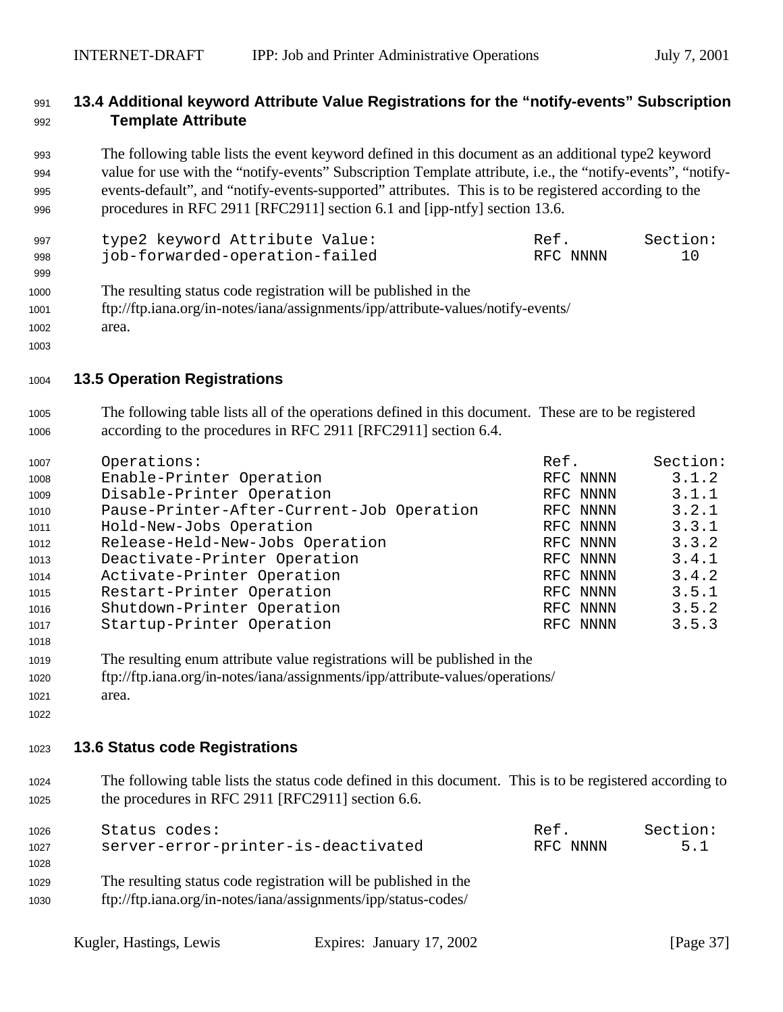#### **13.4 Additional keyword Attribute Value Registrations for the "notify-events" Subscription Template Attribute**

 The following table lists the event keyword defined in this document as an additional type2 keyword value for use with the "notify-events" Subscription Template attribute, i.e., the "notify-events", "notify- events-default", and "notify-events-supported" attributes. This is to be registered according to the procedures in RFC 2911 [RFC2911] section 6.1 and [ipp-ntfy] section 13.6.

| 997 | type2 keyword Attribute Value: | Ref.     | Section: |
|-----|--------------------------------|----------|----------|
| 998 | job-forwarded-operation-failed | RFC NNNN | 10       |

- The resulting status code registration will be published in the
- ftp://ftp.iana.org/in-notes/iana/assignments/ipp/attribute-values/notify-events/ area.
- 

### **13.5 Operation Registrations**

 The following table lists all of the operations defined in this document. These are to be registered according to the procedures in RFC 2911 [RFC2911] section 6.4.

| 1007 | Operations:                               | Ref.     | Section: |
|------|-------------------------------------------|----------|----------|
| 1008 | Enable-Printer Operation                  | RFC NNNN | 3.1.2    |
| 1009 | Disable-Printer Operation                 | RFC NNNN | 3.1.1    |
| 1010 | Pause-Printer-After-Current-Job Operation | RFC NNNN | 3.2.1    |
| 1011 | Hold-New-Jobs Operation                   | RFC NNNN | 3.3.1    |
| 1012 | Release-Held-New-Jobs Operation           | RFC NNNN | 3.3.2    |
| 1013 | Deactivate-Printer Operation              | RFC NNNN | 3.4.1    |
| 1014 | Activate-Printer Operation                | RFC NNNN | 3.4.2    |
| 1015 | Restart-Printer Operation                 | RFC NNNN | 3.5.1    |
| 1016 | Shutdown-Printer Operation                | RFC NNNN | 3.5.2    |
| 1017 | Startup-Printer Operation                 | RFC NNNN | 3.5.3    |

- The resulting enum attribute value registrations will be published in the ftp://ftp.iana.org/in-notes/iana/assignments/ipp/attribute-values/operations/
- area.
- 

### **13.6 Status code Registrations**

 The following table lists the status code defined in this document. This is to be registered according to the procedures in RFC 2911 [RFC2911] section 6.6.

| 1026 | Status codes:                                                   | Ref.     | Section: |
|------|-----------------------------------------------------------------|----------|----------|
| 1027 | server-error-printer-is-deactivated                             | RFC NNNN | 5.1      |
| 1028 |                                                                 |          |          |
| 1029 | The resulting status code registration will be published in the |          |          |
| 1030 | ftp://ftp.iana.org/in-notes/iana/assignments/ipp/status-codes/  |          |          |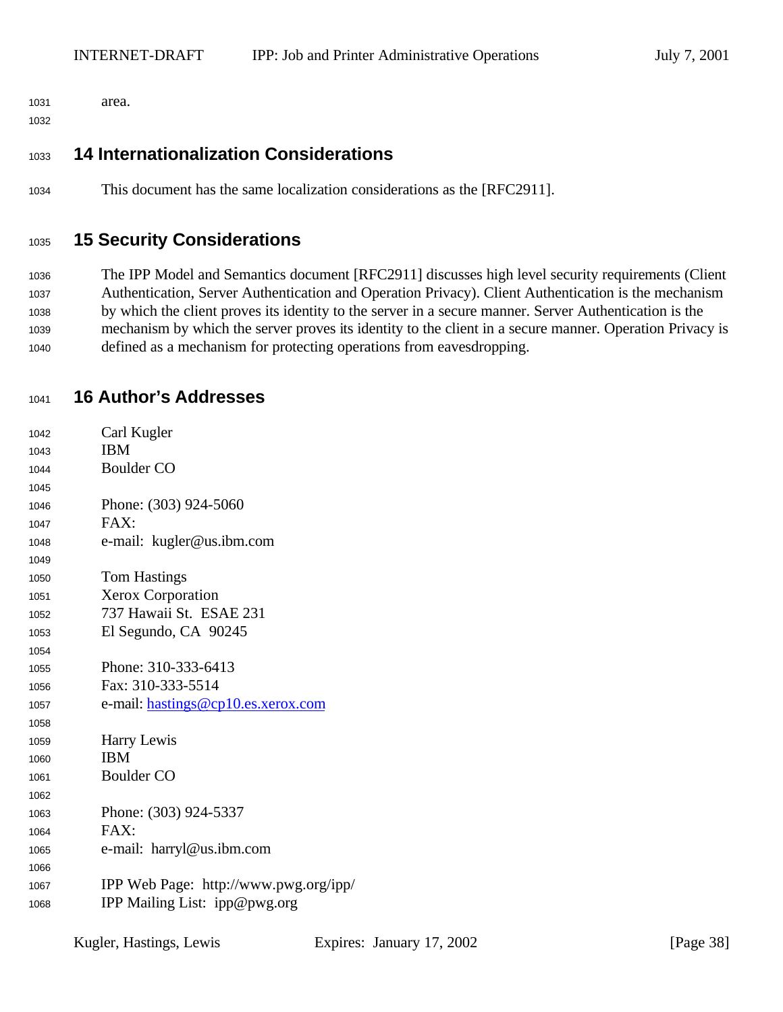area.

## **14 Internationalization Considerations**

This document has the same localization considerations as the [RFC2911].

## **15 Security Considerations**

 The IPP Model and Semantics document [RFC2911] discusses high level security requirements (Client Authentication, Server Authentication and Operation Privacy). Client Authentication is the mechanism by which the client proves its identity to the server in a secure manner. Server Authentication is the mechanism by which the server proves its identity to the client in a secure manner. Operation Privacy is defined as a mechanism for protecting operations from eavesdropping.

## **16 Author's Addresses**

| 1042 | Carl Kugler                           |
|------|---------------------------------------|
| 1043 | <b>IBM</b>                            |
| 1044 | <b>Boulder CO</b>                     |
| 1045 |                                       |
| 1046 | Phone: (303) 924-5060                 |
| 1047 | FAX:                                  |
| 1048 | e-mail: kugler@us.ibm.com             |
| 1049 |                                       |
| 1050 | <b>Tom Hastings</b>                   |
| 1051 | <b>Xerox Corporation</b>              |
| 1052 | 737 Hawaii St. ESAE 231               |
| 1053 | El Segundo, CA 90245                  |
| 1054 |                                       |
| 1055 | Phone: 310-333-6413                   |
| 1056 | Fax: 310-333-5514                     |
| 1057 | e-mail: hastings@cp10.es.xerox.com    |
| 1058 |                                       |
| 1059 | Harry Lewis                           |
| 1060 | <b>IBM</b>                            |
| 1061 | <b>Boulder CO</b>                     |
| 1062 |                                       |
| 1063 | Phone: (303) 924-5337                 |
| 1064 | FAX:                                  |
| 1065 | e-mail: harryl@us.ibm.com             |
| 1066 |                                       |
| 1067 | IPP Web Page: http://www.pwg.org/ipp/ |
| 1068 | IPP Mailing List: ipp@pwg.org         |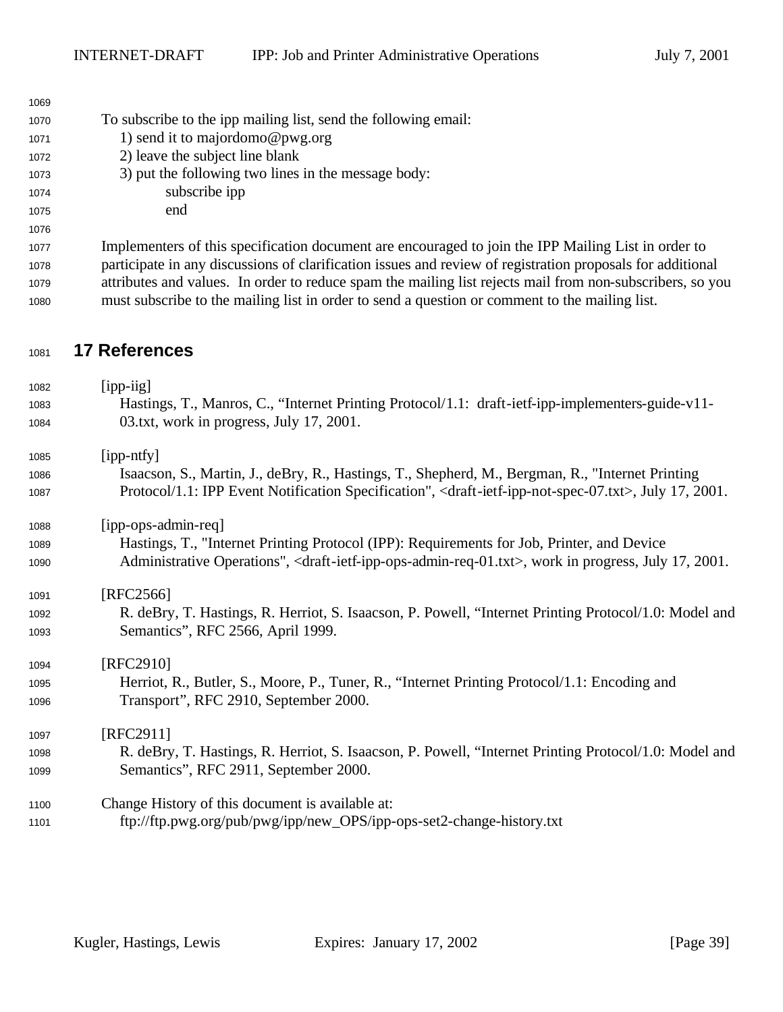| 1009 |                                                                                                     |
|------|-----------------------------------------------------------------------------------------------------|
| 1070 | To subscribe to the ipp mailing list, send the following email:                                     |
| 1071 | 1) send it to majordomo@pwg.org                                                                     |
| 1072 | 2) leave the subject line blank                                                                     |
| 1073 | 3) put the following two lines in the message body:                                                 |
| 1074 | subscribe ipp                                                                                       |
| 1075 | end                                                                                                 |
| 1076 |                                                                                                     |
| 1077 | Implementers of this specification document are encouraged to join the IPP Mailing List in order to |
|      |                                                                                                     |

 participate in any discussions of clarification issues and review of registration proposals for additional attributes and values. In order to reduce spam the mailing list rejects mail from non-subscribers, so you must subscribe to the mailing list in order to send a question or comment to the mailing list.

## **17 References**

 [ipp-iig] Hastings, T., Manros, C., "Internet Printing Protocol/1.1: draft-ietf-ipp-implementers-guide-v11- 03.txt, work in progress, July 17, 2001. [ipp-ntfy] Isaacson, S., Martin, J., deBry, R., Hastings, T., Shepherd, M., Bergman, R., "Internet Printing Protocol/1.1: IPP Event Notification Specification", <draft-ietf-ipp-not-spec-07.txt>, July 17, 2001. [ipp-ops-admin-req] Hastings, T., "Internet Printing Protocol (IPP): Requirements for Job, Printer, and Device Administrative Operations", <draft-ietf-ipp-ops-admin-req-01.txt>, work in progress, July 17, 2001. [RFC2566] R. deBry, T. Hastings, R. Herriot, S. Isaacson, P. Powell, "Internet Printing Protocol/1.0: Model and Semantics", RFC 2566, April 1999. [RFC2910] Herriot, R., Butler, S., Moore, P., Tuner, R., "Internet Printing Protocol/1.1: Encoding and Transport", RFC 2910, September 2000. 1097 [RFC2911] R. deBry, T. Hastings, R. Herriot, S. Isaacson, P. Powell, "Internet Printing Protocol/1.0: Model and Semantics", RFC 2911, September 2000. Change History of this document is available at: ftp://ftp.pwg.org/pub/pwg/ipp/new\_OPS/ipp-ops-set2-change-history.txt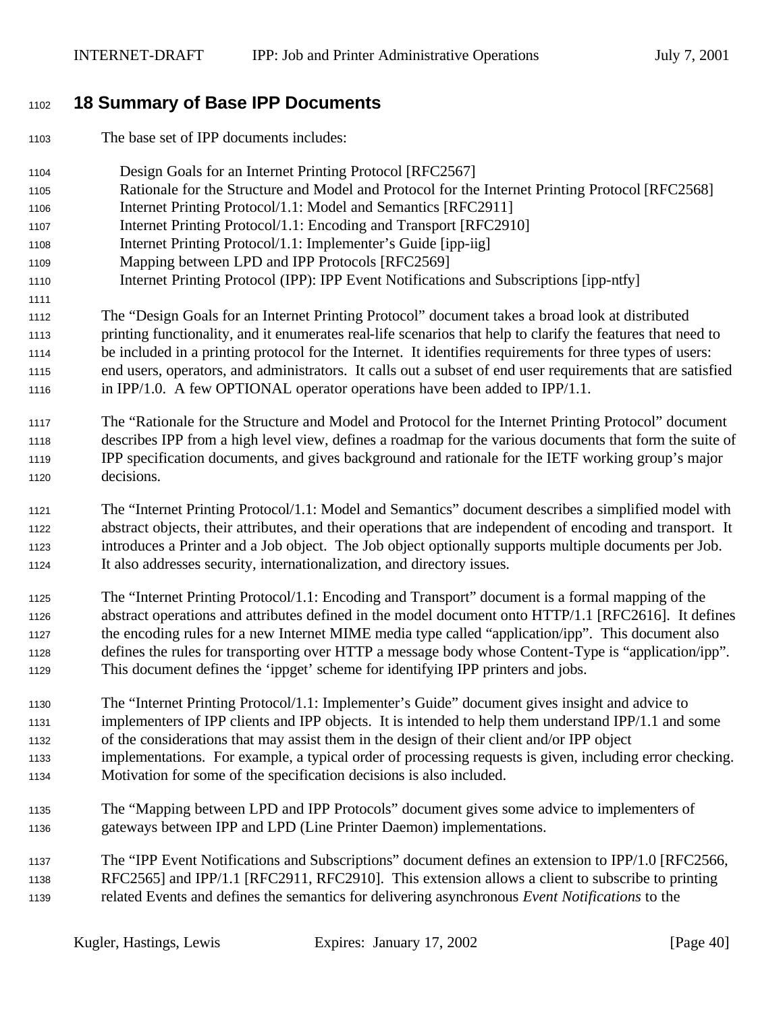## **18 Summary of Base IPP Documents**

The base set of IPP documents includes:

- Design Goals for an Internet Printing Protocol [RFC2567]
- Rationale for the Structure and Model and Protocol for the Internet Printing Protocol [RFC2568]
- Internet Printing Protocol/1.1: Model and Semantics [RFC2911]
- Internet Printing Protocol/1.1: Encoding and Transport [RFC2910]
- Internet Printing Protocol/1.1: Implementer's Guide [ipp-iig]
- Mapping between LPD and IPP Protocols [RFC2569]
- Internet Printing Protocol (IPP): IPP Event Notifications and Subscriptions [ipp-ntfy]
- The "Design Goals for an Internet Printing Protocol" document takes a broad look at distributed printing functionality, and it enumerates real-life scenarios that help to clarify the features that need to be included in a printing protocol for the Internet. It identifies requirements for three types of users: end users, operators, and administrators. It calls out a subset of end user requirements that are satisfied in IPP/1.0. A few OPTIONAL operator operations have been added to IPP/1.1.
- The "Rationale for the Structure and Model and Protocol for the Internet Printing Protocol" document describes IPP from a high level view, defines a roadmap for the various documents that form the suite of IPP specification documents, and gives background and rationale for the IETF working group's major decisions.
- The "Internet Printing Protocol/1.1: Model and Semantics" document describes a simplified model with abstract objects, their attributes, and their operations that are independent of encoding and transport. It introduces a Printer and a Job object. The Job object optionally supports multiple documents per Job. It also addresses security, internationalization, and directory issues.
- The "Internet Printing Protocol/1.1: Encoding and Transport" document is a formal mapping of the abstract operations and attributes defined in the model document onto HTTP/1.1 [RFC2616]. It defines the encoding rules for a new Internet MIME media type called "application/ipp". This document also defines the rules for transporting over HTTP a message body whose Content-Type is "application/ipp". This document defines the 'ippget' scheme for identifying IPP printers and jobs.
- The "Internet Printing Protocol/1.1: Implementer's Guide" document gives insight and advice to implementers of IPP clients and IPP objects. It is intended to help them understand IPP/1.1 and some of the considerations that may assist them in the design of their client and/or IPP object implementations. For example, a typical order of processing requests is given, including error checking. Motivation for some of the specification decisions is also included.
- The "Mapping between LPD and IPP Protocols" document gives some advice to implementers of
- gateways between IPP and LPD (Line Printer Daemon) implementations.
- The "IPP Event Notifications and Subscriptions" document defines an extension to IPP/1.0 [RFC2566, RFC2565] and IPP/1.1 [RFC2911, RFC2910]. This extension allows a client to subscribe to printing related Events and defines the semantics for delivering asynchronous *Event Notifications* to the